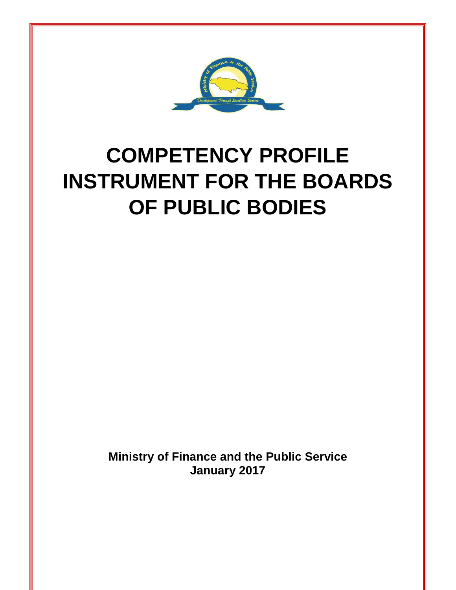

# **COMPETENCY PROFILE INSTRUMENT FOR THE BOARDS OF PUBLIC BODIES**

**Ministry of Finance and the Public Service January 2017**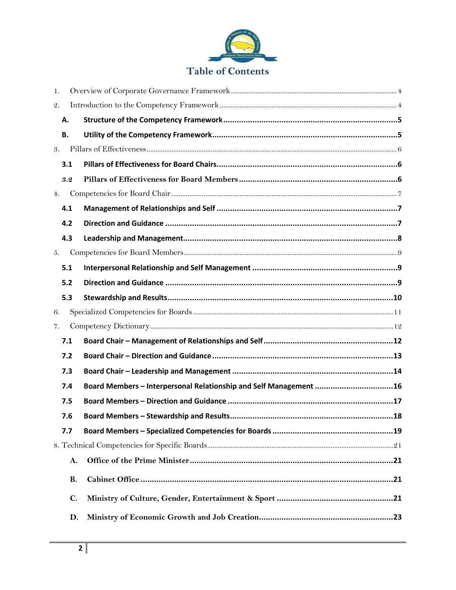

| 1.              |           |                                                                   |
|-----------------|-----------|-------------------------------------------------------------------|
| $\mathfrak{2}.$ |           |                                                                   |
|                 | Α.        |                                                                   |
|                 | <b>B.</b> |                                                                   |
| 3.              |           |                                                                   |
|                 | 3.1       |                                                                   |
|                 | 3.2       |                                                                   |
| 4.              |           |                                                                   |
|                 | 4.1       |                                                                   |
|                 | 4.2       |                                                                   |
|                 | 4.3       |                                                                   |
| 5.              |           |                                                                   |
|                 | 5.1       |                                                                   |
|                 | 5.2       |                                                                   |
|                 | 5.3       |                                                                   |
| 6.              |           |                                                                   |
| 7.              |           |                                                                   |
|                 | 7.1       |                                                                   |
|                 | 7.2       |                                                                   |
|                 | 7.3       |                                                                   |
|                 | 7.4       | Board Members - Interpersonal Relationship and Self Management 16 |
|                 | 7.5       |                                                                   |
|                 | 7.6       | Board Members - Stewardship and Results<br>.18                    |
|                 | 7.7       |                                                                   |
|                 |           |                                                                   |
|                 | A.        |                                                                   |
|                 | <b>B.</b> |                                                                   |
|                 |           |                                                                   |
|                 | C.        |                                                                   |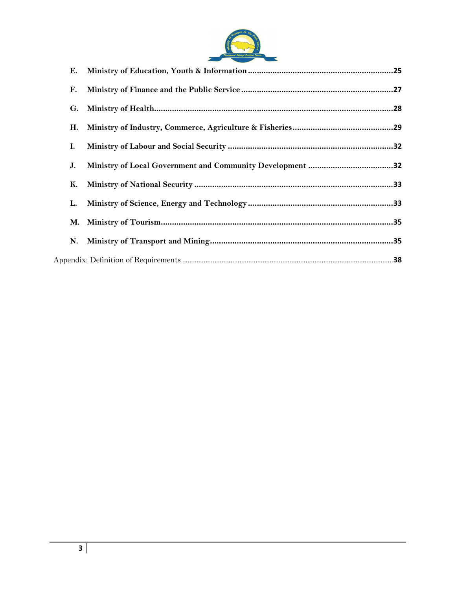

| Е. |  |
|----|--|
| F. |  |
| G. |  |
| H. |  |
| I. |  |
| J. |  |
| К. |  |
| L. |  |
|    |  |
| N. |  |
|    |  |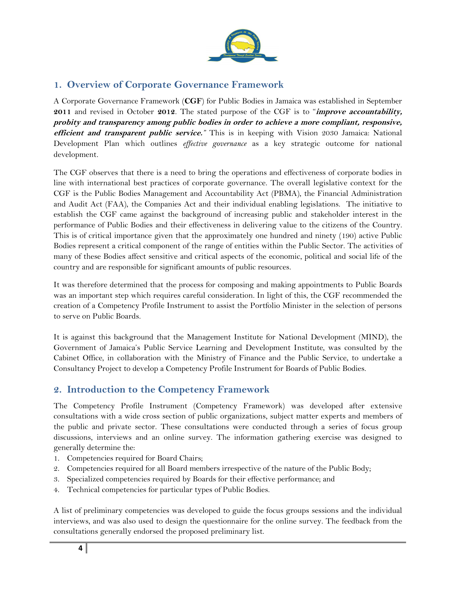

## <span id="page-3-0"></span>**1. Overview of Corporate Governance Framework**

A Corporate Governance Framework (**CGF**) for Public Bodies in Jamaica was established in September **2011** and revised in October **2012**. The stated purpose of the CGF is to "**improve accountability, probity and transparency among public bodies in order to achieve a more compliant, responsive, efficient and transparent public service.***"* This is in keeping with Vision 2030 Jamaica: National Development Plan which outlines *effective governance* as a key strategic outcome for national development*.*

The CGF observes that there is a need to bring the operations and effectiveness of corporate bodies in line with international best practices of corporate governance. The overall legislative context for the CGF is the Public Bodies Management and Accountability Act (PBMA), the Financial Administration and Audit Act (FAA), the Companies Act and their individual enabling legislations. The initiative to establish the CGF came against the background of increasing public and stakeholder interest in the performance of Public Bodies and their effectiveness in delivering value to the citizens of the Country. This is of critical importance given that the approximately one hundred and ninety (190) active Public Bodies represent a critical component of the range of entities within the Public Sector. The activities of many of these Bodies affect sensitive and critical aspects of the economic, political and social life of the country and are responsible for significant amounts of public resources.

It was therefore determined that the process for composing and making appointments to Public Boards was an important step which requires careful consideration. In light of this, the CGF recommended the creation of a Competency Profile Instrument to assist the Portfolio Minister in the selection of persons to serve on Public Boards.

It is against this background that the Management Institute for National Development (MIND), the Government of Jamaica's Public Service Learning and Development Institute, was consulted by the Cabinet Office, in collaboration with the Ministry of Finance and the Public Service, to undertake a Consultancy Project to develop a Competency Profile Instrument for Boards of Public Bodies.

#### <span id="page-3-1"></span>**2. Introduction to the Competency Framework**

The Competency Profile Instrument (Competency Framework) was developed after extensive consultations with a wide cross section of public organizations, subject matter experts and members of the public and private sector. These consultations were conducted through a series of focus group discussions, interviews and an online survey. The information gathering exercise was designed to generally determine the:

- 1. Competencies required for Board Chairs;
- 2. Competencies required for all Board members irrespective of the nature of the Public Body;
- 3. Specialized competencies required by Boards for their effective performance; and
- 4. Technical competencies for particular types of Public Bodies.

A list of preliminary competencies was developed to guide the focus groups sessions and the individual interviews, and was also used to design the questionnaire for the online survey. The feedback from the consultations generally endorsed the proposed preliminary list.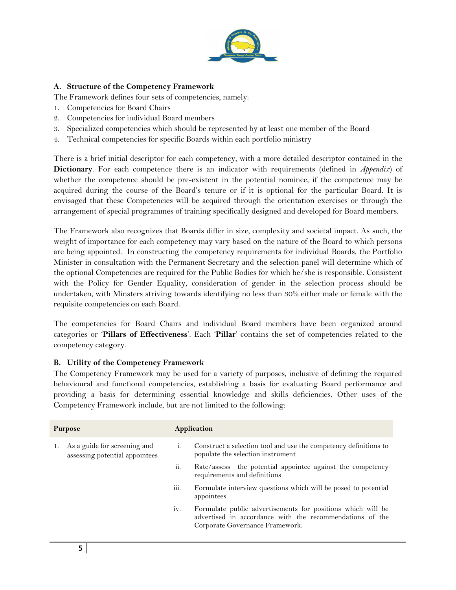

#### <span id="page-4-0"></span>**A. Structure of the Competency Framework**

The Framework defines four sets of competencies, namely:

- 1. Competencies for Board Chairs
- 2. Competencies for individual Board members
- 3. Specialized competencies which should be represented by at least one member of the Board
- 4. Technical competencies for specific Boards within each portfolio ministry

There is a brief initial descriptor for each competency, with a more detailed descriptor contained in the **Dictionary**. For each competence there is an indicator with requirements (defined in *Appendix*) of whether the competence should be pre-existent in the potential nominee, if the competence may be acquired during the course of the Board's tenure or if it is optional for the particular Board. It is envisaged that these Competencies will be acquired through the orientation exercises or through the arrangement of special programmes of training specifically designed and developed for Board members.

The Framework also recognizes that Boards differ in size, complexity and societal impact. As such, the weight of importance for each competency may vary based on the nature of the Board to which persons are being appointed. In constructing the competency requirements for individual Boards, the Portfolio Minister in consultation with the Permanent Secretary and the selection panel will determine which of the optional Competencies are required for the Public Bodies for which he/she is responsible. Consistent with the Policy for Gender Equality, consideration of gender in the selection process should be undertaken, with Minsters striving towards identifying no less than 30% either male or female with the requisite competencies on each Board.

The competencies for Board Chairs and individual Board members have been organized around categories or '**Pillars of Effectiveness**'. Each '**Pillar**' contains the set of competencies related to the competency category.

#### <span id="page-4-1"></span>**B. Utility of the Competency Framework**

The Competency Framework may be used for a variety of purposes, inclusive of defining the required behavioural and functional competencies, establishing a basis for evaluating Board performance and providing a basis for determining essential knowledge and skills deficiencies. Other uses of the Competency Framework include, but are not limited to the following:

| <b>Purpose</b> |                                                                      |                  | Application                                                                                                                                                |  |
|----------------|----------------------------------------------------------------------|------------------|------------------------------------------------------------------------------------------------------------------------------------------------------------|--|
| 1.             | As a guide for screening and<br>i.<br>assessing potential appointees |                  | Construct a selection tool and use the competency definitions to<br>populate the selection instrument                                                      |  |
|                |                                                                      | ii.              | Rate/assess the potential appointee against the competency<br>requirements and definitions                                                                 |  |
|                |                                                                      | $\cdots$<br>111. | Formulate interview questions which will be posed to potential<br>appointees                                                                               |  |
|                |                                                                      | iv.              | Formulate public advertisements for positions which will be<br>advertised in accordance with the recommendations of the<br>Corporate Governance Framework. |  |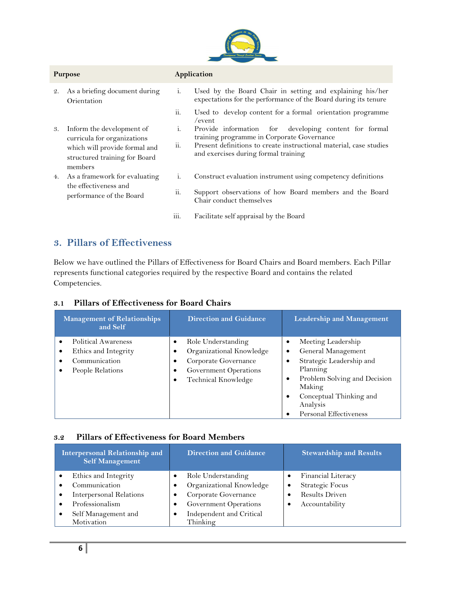

| <b>Purpose</b>                                                                                                                              | Application                                                                                                                                                                                                                    |
|---------------------------------------------------------------------------------------------------------------------------------------------|--------------------------------------------------------------------------------------------------------------------------------------------------------------------------------------------------------------------------------|
| As a briefing document during<br>2.<br>Orientation                                                                                          | i.<br>Used by the Board Chair in setting and explaining his/her<br>expectations for the performance of the Board during its tenure                                                                                             |
|                                                                                                                                             | ii.<br>Used to develop content for a formal orientation programme<br>$/$ event                                                                                                                                                 |
| Inform the development of<br>3.<br>curricula for organizations<br>which will provide formal and<br>structured training for Board<br>members | i.<br>Provide information for developing content for formal<br>training programme in Corporate Governance<br>ii.<br>Present definitions to create instructional material, case studies<br>and exercises during formal training |
| As a framework for evaluating<br>4.                                                                                                         | Construct evaluation instrument using competency definitions<br>1.                                                                                                                                                             |
| the effectiveness and<br>performance of the Board                                                                                           | ii.<br>Support observations of how Board members and the Board<br>Chair conduct themselves                                                                                                                                     |
|                                                                                                                                             | iii.<br>Facilitate self appraisal by the Board                                                                                                                                                                                 |

## <span id="page-5-0"></span>**3. Pillars of Effectiveness**

Below we have outlined the Pillars of Effectiveness for Board Chairs and Board members. Each Pillar represents functional categories required by the respective Board and contains the related Competencies.

#### <span id="page-5-1"></span>**3.1 Pillars of Effectiveness for Board Chairs**

| <b>Management of Relationships</b><br>and Self                                                                               | <b>Direction and Guidance</b>                                                                                                    | <b>Leadership and Management</b>                                                                                                                                                                                     |
|------------------------------------------------------------------------------------------------------------------------------|----------------------------------------------------------------------------------------------------------------------------------|----------------------------------------------------------------------------------------------------------------------------------------------------------------------------------------------------------------------|
| Political Awareness<br>$\bullet$<br>Ethics and Integrity<br>$\bullet$<br>Communication<br>$\bullet$<br>People Relations<br>٠ | Role Understanding<br>٠<br>Organizational Knowledge<br>Corporate Governance<br>Government Operations<br>Technical Knowledge<br>٠ | Meeting Leadership<br>٠<br>General Management<br>٠<br>Strategic Leadership and<br>Planning<br>Problem Solving and Decision<br>٠<br>Making<br>Conceptual Thinking and<br>٠<br>Analysis<br>Personal Effectiveness<br>٠ |

#### <span id="page-5-2"></span>**3.2 Pillars of Effectiveness for Board Members**

| Interpersonal Relationship and<br><b>Self Management</b> |                                                                         | <b>Direction and Guidance</b> |                                                                        | <b>Stewardship and Results</b> |                                                                       |
|----------------------------------------------------------|-------------------------------------------------------------------------|-------------------------------|------------------------------------------------------------------------|--------------------------------|-----------------------------------------------------------------------|
|                                                          | Ethics and Integrity<br>Communication<br><b>Interpersonal Relations</b> |                               | Role Understanding<br>Organizational Knowledge<br>Corporate Governance |                                | Financial Literacy<br><b>Strategic Focus</b><br><b>Results Driven</b> |
|                                                          | Professionalism<br>Self Management and<br>Motivation                    |                               | Government Operations<br>Independent and Critical<br>Thinking          |                                | Accountability                                                        |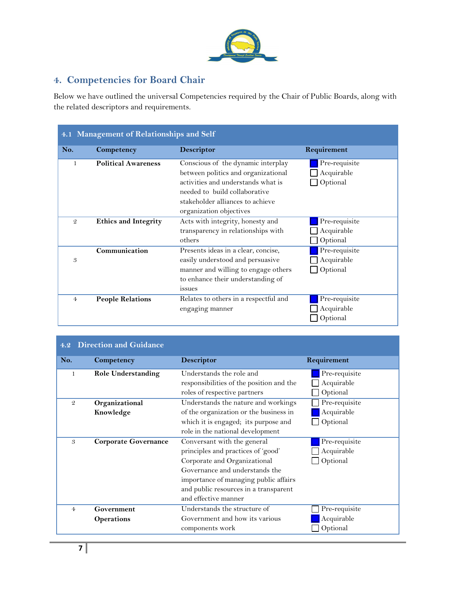

## <span id="page-6-0"></span>**4. Competencies for Board Chair**

Below we have outlined the universal Competencies required by the Chair of Public Boards, along with the related descriptors and requirements.

<span id="page-6-1"></span>

| 4.1 Management of Relationships and Self |                             |                                                                                                                                                                                                                 |                                         |  |
|------------------------------------------|-----------------------------|-----------------------------------------------------------------------------------------------------------------------------------------------------------------------------------------------------------------|-----------------------------------------|--|
| No.                                      | Competency                  | <b>Descriptor</b>                                                                                                                                                                                               | Requirement                             |  |
| 1                                        | <b>Political Awareness</b>  | Conscious of the dynamic interplay<br>between politics and organizational<br>activities and understands what is<br>needed to build collaborative<br>stakeholder alliances to achieve<br>organization objectives | Pre-requisite<br>Acquirable<br>Optional |  |
| $\mathfrak{D}$                           | <b>Ethics and Integrity</b> | Acts with integrity, honesty and<br>transparency in relationships with<br>others                                                                                                                                | Pre-requisite<br>Acquirable<br>Optional |  |
| 3                                        | Communication               | Presents ideas in a clear, concise,<br>easily understood and persuasive<br>manner and willing to engage others<br>to enhance their understanding of<br>issues                                                   | Pre-requisite<br>Acquirable<br>Optional |  |
| $\overline{4}$                           | <b>People Relations</b>     | Relates to others in a respectful and<br>engaging manner                                                                                                                                                        | Pre-requisite<br>Acquirable<br>Optional |  |

<span id="page-6-2"></span>

|  | 4.2 Direction and Guidance |  |
|--|----------------------------|--|
|--|----------------------------|--|

| No.            | Competency                  | <b>Descriptor</b>                        | Requirement   |
|----------------|-----------------------------|------------------------------------------|---------------|
| 1              | <b>Role Understanding</b>   | Understands the role and                 | Pre-requisite |
|                |                             | responsibilities of the position and the | Acquirable    |
|                |                             | roles of respective partners             | Optional      |
| $\mathcal{Q}$  | Organizational              | Understands the nature and workings      | Pre-requisite |
|                | Knowledge                   | of the organization or the business in   | Acquirable    |
|                |                             | which it is engaged; its purpose and     | Optional      |
|                |                             | role in the national development         |               |
| 3              | <b>Corporate Governance</b> | Conversant with the general              | Pre-requisite |
|                |                             | principles and practices of 'good'       | Acquirable    |
|                |                             | Corporate and Organizational             | Optional      |
|                |                             | Governance and understands the           |               |
|                |                             | importance of managing public affairs    |               |
|                |                             | and public resources in a transparent    |               |
|                |                             | and effective manner                     |               |
| $\overline{4}$ | Government                  | Understands the structure of             | Pre-requisite |
|                | <b>Operations</b>           | Government and how its various           | Acquirable    |
|                |                             | components work                          | Optional      |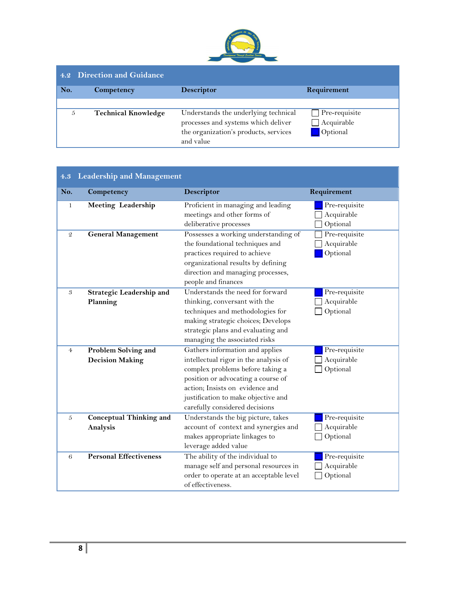

|     | 4.2 Direction and Guidance |                                                                                                                                   |                                                       |  |  |
|-----|----------------------------|-----------------------------------------------------------------------------------------------------------------------------------|-------------------------------------------------------|--|--|
| No. | Competency                 | <b>Descriptor</b>                                                                                                                 | Requirement                                           |  |  |
|     |                            |                                                                                                                                   |                                                       |  |  |
| 5   | <b>Technical Knowledge</b> | Understands the underlying technical<br>processes and systems which deliver<br>the organization's products, services<br>and value | $\Box$ Pre-requisite<br>$\Box$ Acquirable<br>Optional |  |  |

<span id="page-7-0"></span>

| 4.3            | <b>Leadership and Management</b>              |                                                                                                                                                                                                                                                                |                                         |  |  |
|----------------|-----------------------------------------------|----------------------------------------------------------------------------------------------------------------------------------------------------------------------------------------------------------------------------------------------------------------|-----------------------------------------|--|--|
| No.            | Competency                                    | <b>Descriptor</b>                                                                                                                                                                                                                                              | Requirement                             |  |  |
| $\mathbf{1}$   | <b>Meeting Leadership</b>                     | Proficient in managing and leading<br>meetings and other forms of<br>deliberative processes                                                                                                                                                                    | Pre-requisite<br>Acquirable<br>Optional |  |  |
| $\mathfrak{D}$ | <b>General Management</b>                     | Possesses a working understanding of<br>the foundational techniques and<br>practices required to achieve<br>organizational results by defining<br>direction and managing processes,<br>people and finances                                                     | Pre-requisite<br>Acquirable<br>Optional |  |  |
| 3              | Strategic Leadership and<br>Planning          | Understands the need for forward<br>thinking, conversant with the<br>techniques and methodologies for<br>making strategic choices; Develops<br>strategic plans and evaluating and<br>managing the associated risks                                             | Pre-requisite<br>Acquirable<br>Optional |  |  |
| $\overline{4}$ | Problem Solving and<br><b>Decision Making</b> | Gathers information and applies<br>intellectual rigor in the analysis of<br>complex problems before taking a<br>position or advocating a course of<br>action; Insists on evidence and<br>justification to make objective and<br>carefully considered decisions | Pre-requisite<br>Acquirable<br>Optional |  |  |
| $\mathfrak{H}$ | <b>Conceptual Thinking and</b><br>Analysis    | Understands the big picture, takes<br>account of context and synergies and<br>makes appropriate linkages to<br>leverage added value                                                                                                                            | Pre-requisite<br>Acquirable<br>Optional |  |  |
| 6              | <b>Personal Effectiveness</b>                 | The ability of the individual to<br>manage self and personal resources in<br>order to operate at an acceptable level<br>of effectiveness.                                                                                                                      | Pre-requisite<br>Acquirable<br>Optional |  |  |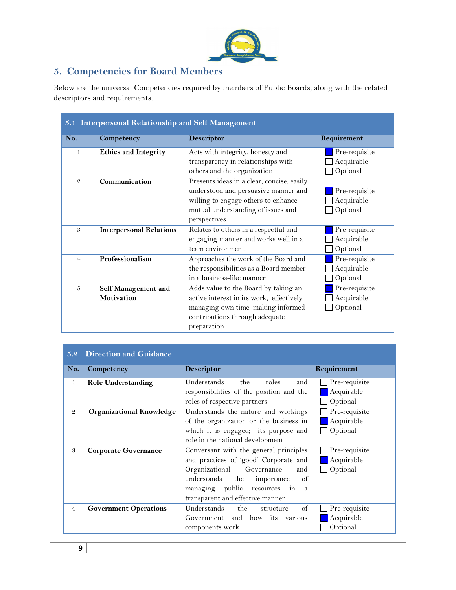

## <span id="page-8-0"></span>**5. Competencies for Board Members**

Below are the universal Competencies required by members of Public Boards, along with the related descriptors and requirements.

<span id="page-8-1"></span>

| 5.1 Interpersonal Relationship and Self Management |                                |                                            |               |  |
|----------------------------------------------------|--------------------------------|--------------------------------------------|---------------|--|
| No.                                                | Competency                     | Descriptor                                 | Requirement   |  |
| 1                                                  | <b>Ethics and Integrity</b>    | Acts with integrity, honesty and           | Pre-requisite |  |
|                                                    |                                | transparency in relationships with         | Acquirable    |  |
|                                                    |                                | others and the organization                | Optional      |  |
| $\mathcal{Q}$                                      | Communication                  | Presents ideas in a clear, concise, easily |               |  |
|                                                    |                                | understood and persuasive manner and       | Pre-requisite |  |
|                                                    |                                | willing to engage others to enhance        | Acquirable    |  |
|                                                    |                                | mutual understanding of issues and         | Optional      |  |
|                                                    |                                | perspectives                               |               |  |
| 3                                                  | <b>Interpersonal Relations</b> | Relates to others in a respectful and      | Pre-requisite |  |
|                                                    |                                | engaging manner and works well in a        | Acquirable    |  |
|                                                    |                                | team environment                           | Optional      |  |
| $\overline{4}$                                     | Professionalism                | Approaches the work of the Board and       | Pre-requisite |  |
|                                                    |                                | the responsibilities as a Board member     | Acquirable    |  |
|                                                    |                                | in a business-like manner                  | Optional      |  |
| 5                                                  | Self Management and            | Adds value to the Board by taking an       | Pre-requisite |  |
|                                                    | Motivation                     | active interest in its work, effectively   | Acquirable    |  |
|                                                    |                                | managing own time making informed          | Optional      |  |
|                                                    |                                | contributions through adequate             |               |  |
|                                                    |                                | preparation                                |               |  |

<span id="page-8-2"></span>

| 5.2            | <b>Direction and Guidance</b>   |                                                                                                                                                                                                                                              |                                         |
|----------------|---------------------------------|----------------------------------------------------------------------------------------------------------------------------------------------------------------------------------------------------------------------------------------------|-----------------------------------------|
| No.            | Competency                      | <b>Descriptor</b>                                                                                                                                                                                                                            | Requirement                             |
| 1              | <b>Role Understanding</b>       | Understands<br>the<br>roles<br>and<br>responsibilities of the position and the<br>roles of respective partners                                                                                                                               | Pre-requisite<br>Acquirable<br>Optional |
| $\mathfrak{D}$ | <b>Organizational Knowledge</b> | Understands the nature and workings<br>of the organization or the business in<br>which it is engaged; its purpose and<br>role in the national development                                                                                    | Pre-requisite<br>Acquirable<br>Optional |
| 3              | <b>Corporate Governance</b>     | Conversant with the general principles<br>and practices of 'good' Corporate and<br>Organizational<br>and<br>Governance<br>understands<br>the<br>of<br>importance<br>managing public<br>resources in<br>a<br>transparent and effective manner | Pre-requisite<br>Acquirable<br>Optional |
| $\overline{4}$ | <b>Government Operations</b>    | of<br>Understands<br>the<br>structure<br>Government and how its various<br>components work                                                                                                                                                   | Pre-requisite<br>Acquirable<br>Optional |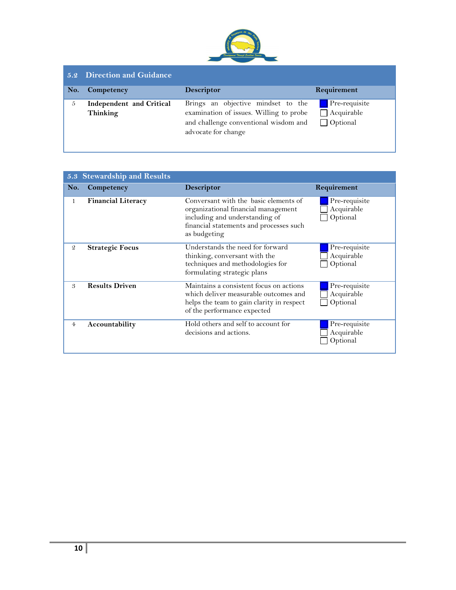

|     | <b>5.2 Direction and Guidance</b>           |                                                                                                                                               |                                                              |
|-----|---------------------------------------------|-----------------------------------------------------------------------------------------------------------------------------------------------|--------------------------------------------------------------|
| No. | Competency                                  | <b>Descriptor</b>                                                                                                                             | Requirement                                                  |
| 5   | Independent and Critical<br><b>Thinking</b> | Brings an objective mindset to the<br>examination of issues. Willing to probe<br>and challenge conventional wisdom and<br>advocate for change | $\Box$ Pre-requisite<br>$\Box$ Acquirable<br>$\Box$ Optional |

<span id="page-9-0"></span>

| 5.3            | <b>Stewardship and Results</b> |                                                                                                                                                                           |                                         |
|----------------|--------------------------------|---------------------------------------------------------------------------------------------------------------------------------------------------------------------------|-----------------------------------------|
| No.            | Competency                     | <b>Descriptor</b>                                                                                                                                                         | Requirement                             |
| 1              | <b>Financial Literacy</b>      | Conversant with the basic elements of<br>organizational financial management<br>including and understanding of<br>financial statements and processes such<br>as budgeting | Pre-requisite<br>Acquirable<br>Optional |
| $\mathcal{Q}$  | <b>Strategic Focus</b>         | Understands the need for forward<br>thinking, conversant with the<br>techniques and methodologies for<br>formulating strategic plans                                      | Pre-requisite<br>Acquirable<br>Optional |
| 3              | <b>Results Driven</b>          | Maintains a consistent focus on actions<br>which deliver measurable outcomes and<br>helps the team to gain clarity in respect<br>of the performance expected              | Pre-requisite<br>Acquirable<br>Optional |
| $\overline{4}$ | Accountability                 | Hold others and self to account for<br>decisions and actions.                                                                                                             | Pre-requisite<br>Acquirable<br>Optional |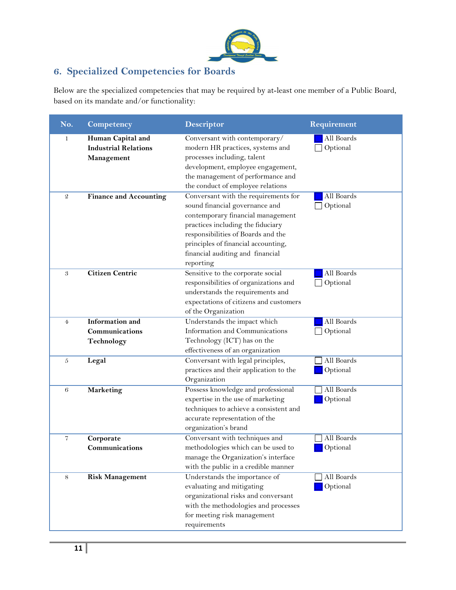

## <span id="page-10-0"></span>**6. Specialized Competencies for Boards**

Below are the specialized competencies that may be required by at-least one member of a Public Board, based on its mandate and/or functionality:

| No.          | Competency                                                     | <b>Descriptor</b>                                                                                                                                                                                                                                                              | Requirement            |
|--------------|----------------------------------------------------------------|--------------------------------------------------------------------------------------------------------------------------------------------------------------------------------------------------------------------------------------------------------------------------------|------------------------|
| 1            | Human Capital and<br><b>Industrial Relations</b><br>Management | Conversant with contemporary/<br>modern HR practices, systems and<br>processes including, talent<br>development, employee engagement,<br>the management of performance and<br>the conduct of employee relations                                                                | All Boards<br>Optional |
| $\mathcal Q$ | <b>Finance and Accounting</b>                                  | Conversant with the requirements for<br>sound financial governance and<br>contemporary financial management<br>practices including the fiduciary<br>responsibilities of Boards and the<br>principles of financial accounting,<br>financial auditing and financial<br>reporting | All Boards<br>Optional |
| 3            | <b>Citizen Centric</b>                                         | Sensitive to the corporate social<br>responsibilities of organizations and<br>understands the requirements and<br>expectations of citizens and customers<br>of the Organization                                                                                                | All Boards<br>Optional |
| 4            | <b>Information</b> and<br>Communications<br>Technology         | Understands the impact which<br>Information and Communications<br>Technology (ICT) has on the<br>effectiveness of an organization                                                                                                                                              | All Boards<br>Optional |
| 5            | Legal                                                          | Conversant with legal principles,<br>practices and their application to the<br>Organization                                                                                                                                                                                    | All Boards<br>Optional |
| 6            | <b>Marketing</b>                                               | Possess knowledge and professional<br>expertise in the use of marketing<br>techniques to achieve a consistent and<br>accurate representation of the<br>organization's brand                                                                                                    | All Boards<br>Optional |
| 7            | Corporate<br>Communications                                    | Conversant with techniques and<br>methodologies which can be used to<br>manage the Organization's interface<br>with the public in a credible manner                                                                                                                            | All Boards<br>Optional |
| 8            | <b>Risk Management</b>                                         | Understands the importance of<br>evaluating and mitigating<br>organizational risks and conversant<br>with the methodologies and processes<br>for meeting risk management<br>requirements                                                                                       | All Boards<br>Optional |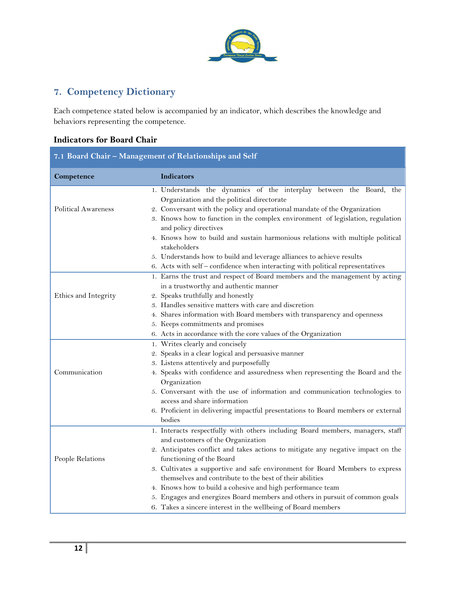

# <span id="page-11-0"></span>**7. Competency Dictionary**

Each competence stated below is accompanied by an indicator, which describes the knowledge and behaviors representing the competence.

#### **Indicators for Board Chair**

<span id="page-11-1"></span>

| 7.1 Board Chair - Management of Relationships and Self |                                                                                                         |  |  |
|--------------------------------------------------------|---------------------------------------------------------------------------------------------------------|--|--|
| Competence                                             | Indicators                                                                                              |  |  |
|                                                        | 1. Understands the dynamics of the interplay between the Board, the                                     |  |  |
|                                                        | Organization and the political directorate                                                              |  |  |
| <b>Political Awareness</b>                             | 2. Conversant with the policy and operational mandate of the Organization                               |  |  |
|                                                        | 3. Knows how to function in the complex environment of legislation, regulation<br>and policy directives |  |  |
|                                                        | 4. Knows how to build and sustain harmonious relations with multiple political<br>stakeholders          |  |  |
|                                                        | 5. Understands how to build and leverage alliances to achieve results                                   |  |  |
|                                                        | 6. Acts with self - confidence when interacting with political representatives                          |  |  |
|                                                        | 1. Earns the trust and respect of Board members and the management by acting                            |  |  |
|                                                        | in a trustworthy and authentic manner                                                                   |  |  |
| Ethics and Integrity                                   | 2. Speaks truthfully and honestly                                                                       |  |  |
|                                                        | 3. Handles sensitive matters with care and discretion                                                   |  |  |
|                                                        | 4. Shares information with Board members with transparency and openness                                 |  |  |
|                                                        | 5. Keeps commitments and promises                                                                       |  |  |
|                                                        | 6. Acts in accordance with the core values of the Organization                                          |  |  |
|                                                        | 1. Writes clearly and concisely                                                                         |  |  |
|                                                        | 2. Speaks in a clear logical and persuasive manner                                                      |  |  |
|                                                        | 3. Listens attentively and purposefully                                                                 |  |  |
| Communication                                          | 4. Speaks with confidence and assuredness when representing the Board and the<br>Organization           |  |  |
|                                                        | 5. Conversant with the use of information and communication technologies to                             |  |  |
|                                                        | access and share information                                                                            |  |  |
|                                                        | 6. Proficient in delivering impactful presentations to Board members or external<br>bodies              |  |  |
|                                                        | 1. Interacts respectfully with others including Board members, managers, staff                          |  |  |
|                                                        | and customers of the Organization                                                                       |  |  |
|                                                        | 2. Anticipates conflict and takes actions to mitigate any negative impact on the                        |  |  |
| People Relations                                       | functioning of the Board                                                                                |  |  |
|                                                        | 3. Cultivates a supportive and safe environment for Board Members to express                            |  |  |
|                                                        | themselves and contribute to the best of their abilities                                                |  |  |
|                                                        | 4. Knows how to build a cohesive and high performance team                                              |  |  |
|                                                        | 5. Engages and energizes Board members and others in pursuit of common goals                            |  |  |
|                                                        | 6. Takes a sincere interest in the wellbeing of Board members                                           |  |  |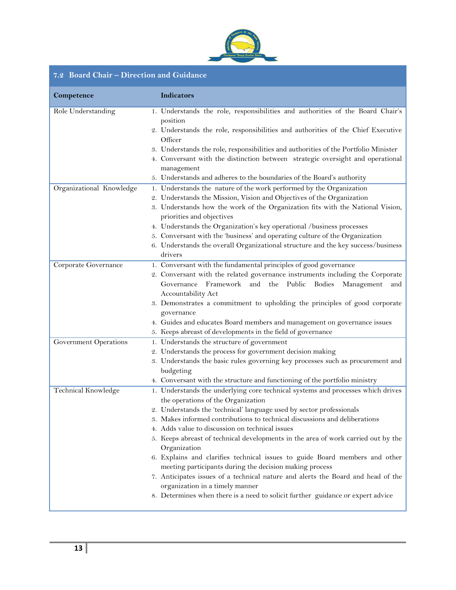

## <span id="page-12-0"></span>**7.2 Board Chair – Direction and Guidance**

| Competence               | Indicators                                                                                   |
|--------------------------|----------------------------------------------------------------------------------------------|
| Role Understanding       | 1. Understands the role, responsibilities and authorities of the Board Chair's               |
|                          | position                                                                                     |
|                          | 2. Understands the role, responsibilities and authorities of the Chief Executive             |
|                          | Officer                                                                                      |
|                          | 3. Understands the role, responsibilities and authorities of the Portfolio Minister          |
|                          | 4. Conversant with the distinction between strategic oversight and operational<br>management |
|                          | 5. Understands and adheres to the boundaries of the Board's authority                        |
| Organizational Knowledge | 1. Understands the nature of the work performed by the Organization                          |
|                          | 2. Understands the Mission, Vision and Objectives of the Organization                        |
|                          | 3. Understands how the work of the Organization fits with the National Vision,               |
|                          | priorities and objectives                                                                    |
|                          | 4. Understands the Organization's key operational /business processes                        |
|                          | 5. Conversant with the 'business' and operating culture of the Organization                  |
|                          | 6. Understands the overall Organizational structure and the key success/business             |
|                          | drivers                                                                                      |
| Corporate Governance     | 1. Conversant with the fundamental principles of good governance                             |
|                          | 2. Conversant with the related governance instruments including the Corporate                |
|                          | Framework and the<br>Public<br><b>Bodies</b><br>Governance<br>Management<br>and              |
|                          | Accountability Act                                                                           |
|                          | 3. Demonstrates a commitment to upholding the principles of good corporate<br>governance     |
|                          | 4. Guides and educates Board members and management on governance issues                     |
|                          | 5. Keeps abreast of developments in the field of governance                                  |
| Government Operations    | 1. Understands the structure of government                                                   |
|                          | 2. Understands the process for government decision making                                    |
|                          | 3. Understands the basic rules governing key processes such as procurement and               |
|                          | budgeting                                                                                    |
|                          | 4. Conversant with the structure and functioning of the portfolio ministry                   |
| Technical Knowledge      | 1. Understands the underlying core technical systems and processes which drives              |
|                          | the operations of the Organization                                                           |
|                          | 2. Understands the 'technical' language used by sector professionals                         |
|                          | 3. Makes informed contributions to technical discussions and deliberations                   |
|                          | 4. Adds value to discussion on technical issues                                              |
|                          | 5. Keeps abreast of technical developments in the area of work carried out by the            |
|                          | Organization                                                                                 |
|                          | 6. Explains and clarifies technical issues to guide Board members and other                  |
|                          | meeting participants during the decision making process                                      |
|                          | 7. Anticipates issues of a technical nature and alerts the Board and head of the             |
|                          | organization in a timely manner                                                              |
|                          | 8. Determines when there is a need to solicit further guidance or expert advice              |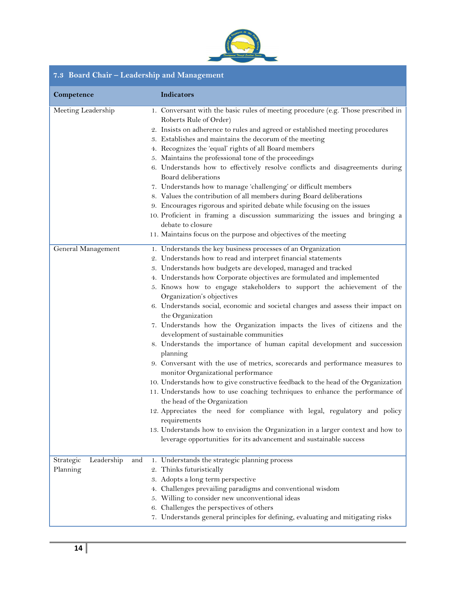

## <span id="page-13-0"></span>**7.3 Board Chair – Leadership and Management**

| Competence                                 | Indicators                                                                                                                                                                                                                                                                                                                                                                                                                                                                                                                                                                                                                                                                                                                                                                                                                                                                                                                                                                                                                                                                                                                                                                                                                                                                              |
|--------------------------------------------|-----------------------------------------------------------------------------------------------------------------------------------------------------------------------------------------------------------------------------------------------------------------------------------------------------------------------------------------------------------------------------------------------------------------------------------------------------------------------------------------------------------------------------------------------------------------------------------------------------------------------------------------------------------------------------------------------------------------------------------------------------------------------------------------------------------------------------------------------------------------------------------------------------------------------------------------------------------------------------------------------------------------------------------------------------------------------------------------------------------------------------------------------------------------------------------------------------------------------------------------------------------------------------------------|
| Meeting Leadership                         | 1. Conversant with the basic rules of meeting procedure (e.g. Those prescribed in<br>Roberts Rule of Order)<br>2. Insists on adherence to rules and agreed or established meeting procedures<br>3. Establishes and maintains the decorum of the meeting<br>4. Recognizes the 'equal' rights of all Board members<br>5. Maintains the professional tone of the proceedings<br>6. Understands how to effectively resolve conflicts and disagreements during<br>Board deliberations<br>7. Understands how to manage 'challenging' or difficult members<br>8. Values the contribution of all members during Board deliberations<br>9. Encourages rigorous and spirited debate while focusing on the issues<br>10. Proficient in framing a discussion summarizing the issues and bringing a<br>debate to closure<br>11. Maintains focus on the purpose and objectives of the meeting                                                                                                                                                                                                                                                                                                                                                                                                         |
| General Management                         | 1. Understands the key business processes of an Organization<br>2. Understands how to read and interpret financial statements<br>3. Understands how budgets are developed, managed and tracked<br>4. Understands how Corporate objectives are formulated and implemented<br>5. Knows how to engage stakeholders to support the achievement of the<br>Organization's objectives<br>6. Understands social, economic and societal changes and assess their impact on<br>the Organization<br>7. Understands how the Organization impacts the lives of citizens and the<br>development of sustainable communities<br>8. Understands the importance of human capital development and succession<br>planning<br>9. Conversant with the use of metrics, scorecards and performance measures to<br>monitor Organizational performance<br>10. Understands how to give constructive feedback to the head of the Organization<br>11. Understands how to use coaching techniques to enhance the performance of<br>the head of the Organization<br>12. Appreciates the need for compliance with legal, regulatory and policy<br>requirements<br>13. Understands how to envision the Organization in a larger context and how to<br>leverage opportunities for its advancement and sustainable success |
| Strategic<br>Leadership<br>and<br>Planning | 1. Understands the strategic planning process<br>Thinks futuristically<br>2.<br>3. Adopts a long term perspective<br>4. Challenges prevailing paradigms and conventional wisdom<br>5. Willing to consider new unconventional ideas<br>6. Challenges the perspectives of others<br>7. Understands general principles for defining, evaluating and mitigating risks                                                                                                                                                                                                                                                                                                                                                                                                                                                                                                                                                                                                                                                                                                                                                                                                                                                                                                                       |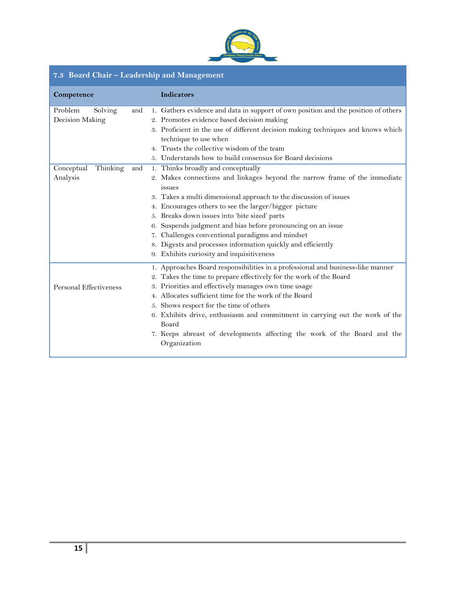

# **7.3 Board Chair – Leadership and Management**

| Competence             |     | <b>Indicators</b> |                                                                                          |
|------------------------|-----|-------------------|------------------------------------------------------------------------------------------|
| Problem<br>Solving     | and |                   | 1. Gathers evidence and data in support of own position and the position of others       |
| Decision Making        |     |                   | 2. Promotes evidence based decision making                                               |
|                        |     |                   | 3. Proficient in the use of different decision making techniques and knows which         |
|                        |     |                   | technique to use when                                                                    |
|                        |     |                   | 4. Trusts the collective wisdom of the team                                              |
|                        |     |                   | 5. Understands how to build consensus for Board decisions                                |
| Conceptual<br>Thinking | and |                   | 1. Thinks broadly and conceptually                                                       |
| Analysis               |     |                   | 2. Makes connections and linkages beyond the narrow frame of the immediate               |
|                        |     | issues            |                                                                                          |
|                        |     |                   | 3. Takes a multi dimensional approach to the discussion of issues                        |
|                        |     |                   | 4. Encourages others to see the larger/bigger picture                                    |
|                        |     |                   | 5. Breaks down issues into 'bite sized' parts                                            |
|                        |     |                   | 6. Suspends judgment and bias before pronouncing on an issue                             |
|                        |     |                   | 7. Challenges conventional paradigms and mindset                                         |
|                        |     |                   | 8. Digests and processes information quickly and efficiently                             |
|                        |     |                   | 9. Exhibits curiosity and inquisitiveness                                                |
|                        |     |                   | 1. Approaches Board responsibilities in a professional and business-like manner          |
|                        |     |                   | 2. Takes the time to prepare effectively for the work of the Board                       |
| Personal Effectiveness |     |                   | 3. Priorities and effectively manages own time usage                                     |
|                        |     |                   | 4. Allocates sufficient time for the work of the Board                                   |
|                        |     |                   | 5. Shows respect for the time of others                                                  |
|                        |     |                   | 6. Exhibits drive, enthusiasm and commitment in carrying out the work of the             |
|                        |     | Board             |                                                                                          |
|                        |     |                   | 7. Keeps abreast of developments affecting the work of the Board and the<br>Organization |
|                        |     |                   |                                                                                          |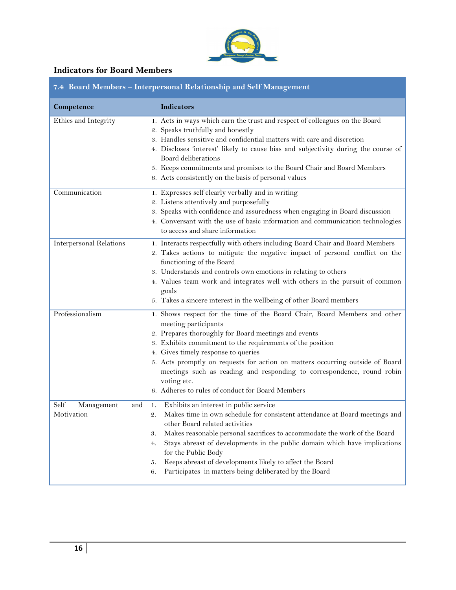

#### **Indicators for Board Members**

<span id="page-15-0"></span>

| 7.4 Board Members - Interpersonal Relationship and Self Management |                                                                                                                                                                                                                                                                                                                                                                                                                                                                                                    |  |  |
|--------------------------------------------------------------------|----------------------------------------------------------------------------------------------------------------------------------------------------------------------------------------------------------------------------------------------------------------------------------------------------------------------------------------------------------------------------------------------------------------------------------------------------------------------------------------------------|--|--|
| Competence                                                         | <b>Indicators</b>                                                                                                                                                                                                                                                                                                                                                                                                                                                                                  |  |  |
| Ethics and Integrity                                               | 1. Acts in ways which earn the trust and respect of colleagues on the Board<br>2. Speaks truthfully and honestly<br>3. Handles sensitive and confidential matters with care and discretion<br>4. Discloses 'interest' likely to cause bias and subjectivity during the course of<br>Board deliberations<br>5. Keeps commitments and promises to the Board Chair and Board Members<br>6. Acts consistently on the basis of personal values                                                          |  |  |
| Communication                                                      | 1. Expresses self clearly verbally and in writing<br>2. Listens attentively and purposefully<br>3. Speaks with confidence and assuredness when engaging in Board discussion<br>4. Conversant with the use of basic information and communication technologies<br>to access and share information                                                                                                                                                                                                   |  |  |
| <b>Interpersonal Relations</b>                                     | 1. Interacts respectfully with others including Board Chair and Board Members<br>2. Takes actions to mitigate the negative impact of personal conflict on the<br>functioning of the Board<br>3. Understands and controls own emotions in relating to others<br>4. Values team work and integrates well with others in the pursuit of common<br>goals<br>5. Takes a sincere interest in the wellbeing of other Board members                                                                        |  |  |
| Professionalism                                                    | 1. Shows respect for the time of the Board Chair, Board Members and other<br>meeting participants<br>2. Prepares thoroughly for Board meetings and events<br>3. Exhibits commitment to the requirements of the position<br>4. Gives timely response to queries<br>5. Acts promptly on requests for action on matters occurring outside of Board<br>meetings such as reading and responding to correspondence, round robin<br>voting etc.<br>6. Adheres to rules of conduct for Board Members       |  |  |
| Self<br>Management<br>and<br>Motivation                            | Exhibits an interest in public service<br>1.<br>Makes time in own schedule for consistent attendance at Board meetings and<br>2.<br>other Board related activities<br>Makes reasonable personal sacrifices to accommodate the work of the Board<br>3.<br>Stays abreast of developments in the public domain which have implications<br>4.<br>for the Public Body<br>Keeps abreast of developments likely to affect the Board<br>5.<br>Participates in matters being deliberated by the Board<br>6. |  |  |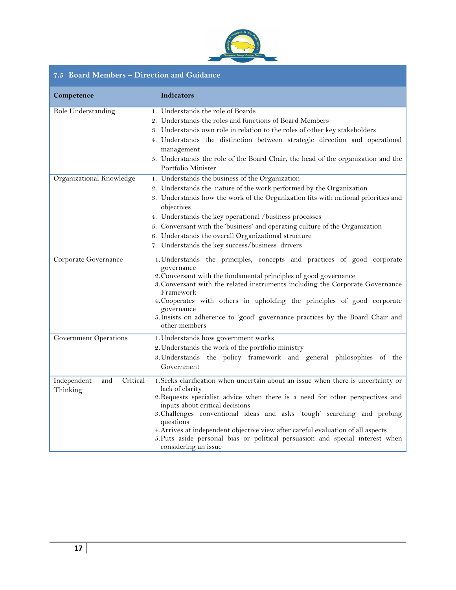

## <span id="page-16-0"></span>**7.5 Board Members – Direction and Guidance**

| Competence                     | <b>Indicators</b>                                                                                                |
|--------------------------------|------------------------------------------------------------------------------------------------------------------|
| Role Understanding             | 1. Understands the role of Boards                                                                                |
|                                | 2. Understands the roles and functions of Board Members                                                          |
|                                | 3. Understands own role in relation to the roles of other key stakeholders                                       |
|                                | 4. Understands the distinction between strategic direction and operational<br>management                         |
|                                | 5. Understands the role of the Board Chair, the head of the organization and the<br>Portfolio Minister           |
| Organizational Knowledge       | 1. Understands the business of the Organization                                                                  |
|                                | 2. Understands the nature of the work performed by the Organization                                              |
|                                | 3. Understands how the work of the Organization fits with national priorities and                                |
|                                | objectives                                                                                                       |
|                                | 4. Understands the key operational /business processes                                                           |
|                                | 5. Conversant with the 'business' and operating culture of the Organization                                      |
|                                | 6. Understands the overall Organizational structure                                                              |
|                                | 7. Understands the key success/business drivers                                                                  |
| Corporate Governance           | 1. Understands the principles, concepts and practices of good corporate                                          |
|                                | governance                                                                                                       |
|                                | 2. Conversant with the fundamental principles of good governance                                                 |
|                                | 3. Conversant with the related instruments including the Corporate Governance<br>Framework                       |
|                                | 4. Cooperates with others in upholding the principles of good corporate<br>governance                            |
|                                | 5. Insists on adherence to 'good' governance practices by the Board Chair and<br>other members                   |
|                                |                                                                                                                  |
| Government Operations          | 1. Understands how government works                                                                              |
|                                | 2. Understands the work of the portfolio ministry                                                                |
|                                | 3. Understands the policy framework and general philosophies of the                                              |
|                                | Government                                                                                                       |
| Critical<br>Independent<br>and | 1. Seeks clarification when uncertain about an issue when there is uncertainty or                                |
| Thinking                       | lack of clarity                                                                                                  |
|                                | 2. Requests specialist advice when there is a need for other perspectives and<br>inputs about critical decisions |
|                                | 3. Challenges conventional ideas and asks 'tough' searching and probing                                          |
|                                | questions                                                                                                        |
|                                | 4. Arrives at independent objective view after careful evaluation of all aspects                                 |
|                                | 5. Puts aside personal bias or political persuasion and special interest when                                    |
|                                | considering an issue                                                                                             |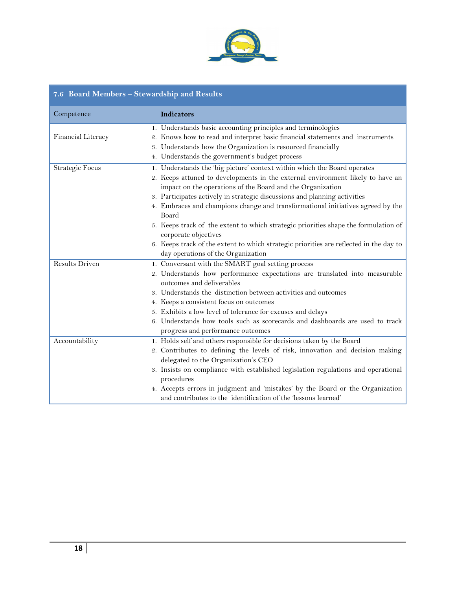

#### <span id="page-17-0"></span>**7.6 Board Members – Stewardship and Results**

| Competence             | Indicators                                                                                      |
|------------------------|-------------------------------------------------------------------------------------------------|
|                        | 1. Understands basic accounting principles and terminologies                                    |
| Financial Literacy     | 2. Knows how to read and interpret basic financial statements and instruments                   |
|                        | 3. Understands how the Organization is resourced financially                                    |
|                        | 4. Understands the government's budget process                                                  |
| <b>Strategic Focus</b> | 1. Understands the 'big picture' context within which the Board operates                        |
|                        | 2. Keeps attuned to developments in the external environment likely to have an                  |
|                        | impact on the operations of the Board and the Organization                                      |
|                        | 3. Participates actively in strategic discussions and planning activities                       |
|                        | 4. Embraces and champions change and transformational initiatives agreed by the<br>Board        |
|                        | 5. Keeps track of the extent to which strategic priorities shape the formulation of             |
|                        | corporate objectives                                                                            |
|                        | 6. Keeps track of the extent to which strategic priorities are reflected in the day to          |
|                        | day operations of the Organization                                                              |
| <b>Results Driven</b>  | 1. Conversant with the SMART goal setting process                                               |
|                        | 2. Understands how performance expectations are translated into measurable                      |
|                        | outcomes and deliverables                                                                       |
|                        | 3. Understands the distinction between activities and outcomes                                  |
|                        | 4. Keeps a consistent focus on outcomes                                                         |
|                        | 5. Exhibits a low level of tolerance for excuses and delays                                     |
|                        | 6. Understands how tools such as scorecards and dashboards are used to track                    |
|                        | progress and performance outcomes                                                               |
| Accountability         | 1. Holds self and others responsible for decisions taken by the Board                           |
|                        | 2. Contributes to defining the levels of risk, innovation and decision making                   |
|                        | delegated to the Organization's CEO                                                             |
|                        | 3. Insists on compliance with established legislation regulations and operational<br>procedures |
|                        | 4. Accepts errors in judgment and 'mistakes' by the Board or the Organization                   |
|                        | and contributes to the identification of the Tessons learned'                                   |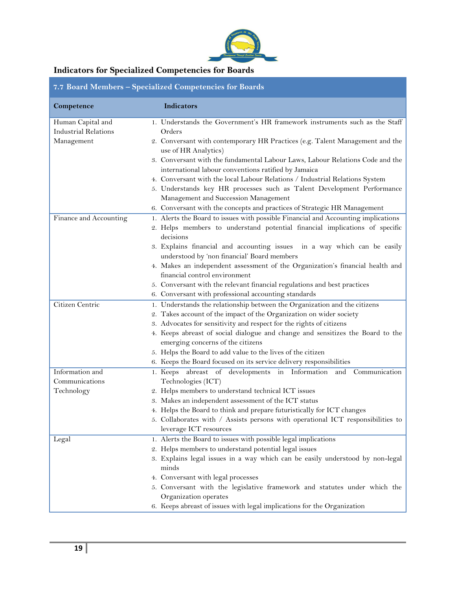

## **Indicators for Specialized Competencies for Boards**

<span id="page-18-0"></span>

| 7.7 Board Members - Specialized Competencies for Boards |                                                                                                                                       |  |  |
|---------------------------------------------------------|---------------------------------------------------------------------------------------------------------------------------------------|--|--|
| Competence                                              | Indicators                                                                                                                            |  |  |
| Human Capital and                                       | 1. Understands the Government's HR framework instruments such as the Staff                                                            |  |  |
| <b>Industrial Relations</b>                             | Orders                                                                                                                                |  |  |
| Management                                              | 2. Conversant with contemporary HR Practices (e.g. Talent Management and the<br>use of HR Analytics)                                  |  |  |
|                                                         | 3. Conversant with the fundamental Labour Laws, Labour Relations Code and the<br>international labour conventions ratified by Jamaica |  |  |
|                                                         | 4. Conversant with the local Labour Relations / Industrial Relations System                                                           |  |  |
|                                                         | 5. Understands key HR processes such as Talent Development Performance                                                                |  |  |
|                                                         | Management and Succession Management                                                                                                  |  |  |
|                                                         | 6. Conversant with the concepts and practices of Strategic HR Management                                                              |  |  |
| Finance and Accounting                                  | 1. Alerts the Board to issues with possible Financial and Accounting implications                                                     |  |  |
|                                                         | 2. Helps members to understand potential financial implications of specific<br>decisions                                              |  |  |
|                                                         | 3. Explains financial and accounting issues in a way which can be easily                                                              |  |  |
|                                                         | understood by 'non financial' Board members                                                                                           |  |  |
|                                                         | 4. Makes an independent assessment of the Organization's financial health and                                                         |  |  |
|                                                         | financial control environment                                                                                                         |  |  |
|                                                         | 5. Conversant with the relevant financial regulations and best practices                                                              |  |  |
|                                                         | 6. Conversant with professional accounting standards                                                                                  |  |  |
| <b>Citizen Centric</b>                                  | 1. Understands the relationship between the Organization and the citizens                                                             |  |  |
|                                                         | 2. Takes account of the impact of the Organization on wider society                                                                   |  |  |
|                                                         | 3. Advocates for sensitivity and respect for the rights of citizens                                                                   |  |  |
|                                                         | 4. Keeps abreast of social dialogue and change and sensitizes the Board to the                                                        |  |  |
|                                                         | emerging concerns of the citizens                                                                                                     |  |  |
|                                                         | 5. Helps the Board to add value to the lives of the citizen                                                                           |  |  |
|                                                         | 6. Keeps the Board focused on its service delivery responsibilities                                                                   |  |  |
| Information and                                         | 1. Keeps abreast of developments in Information<br>and<br>Communication                                                               |  |  |
| Communications                                          | Technologies (ICT)                                                                                                                    |  |  |
| Technology                                              | 2. Helps members to understand technical ICT issues                                                                                   |  |  |
|                                                         | 3. Makes an independent assessment of the ICT status                                                                                  |  |  |
|                                                         | 4. Helps the Board to think and prepare futuristically for ICT changes                                                                |  |  |
|                                                         | 5. Collaborates with / Assists persons with operational ICT responsibilities to                                                       |  |  |
|                                                         | leverage ICT resources                                                                                                                |  |  |
| Legal                                                   | 1. Alerts the Board to issues with possible legal implications                                                                        |  |  |
|                                                         | 2. Helps members to understand potential legal issues                                                                                 |  |  |
|                                                         | 3. Explains legal issues in a way which can be easily understood by non-legal                                                         |  |  |
|                                                         | minds                                                                                                                                 |  |  |
|                                                         | 4. Conversant with legal processes                                                                                                    |  |  |
|                                                         | 5. Conversant with the legislative framework and statutes under which the                                                             |  |  |
|                                                         | Organization operates                                                                                                                 |  |  |
|                                                         | 6. Keeps abreast of issues with legal implications for the Organization                                                               |  |  |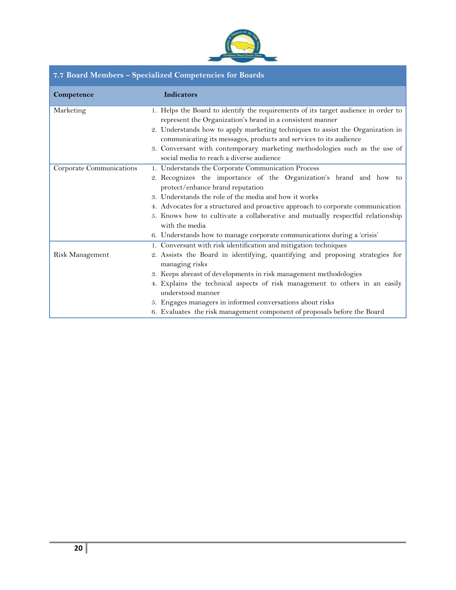

## **7.7 Board Members – Specialized Competencies for Boards**

| Competence               | Indicators                                                                                                                                          |
|--------------------------|-----------------------------------------------------------------------------------------------------------------------------------------------------|
| Marketing                | 1. Helps the Board to identify the requirements of its target audience in order to<br>represent the Organization's brand in a consistent manner     |
|                          | 2. Understands how to apply marketing techniques to assist the Organization in<br>communicating its messages, products and services to its audience |
|                          | 3. Conversant with contemporary marketing methodologies such as the use of<br>social media to reach a diverse audience                              |
| Corporate Communications | 1. Understands the Corporate Communication Process                                                                                                  |
|                          | 2. Recognizes the importance of the Organization's brand and how to<br>protect/enhance brand reputation                                             |
|                          | 3. Understands the role of the media and how it works                                                                                               |
|                          | 4. Advocates for a structured and proactive approach to corporate communication                                                                     |
|                          | 5. Knows how to cultivate a collaborative and mutually respectful relationship<br>with the media                                                    |
|                          | 6. Understands how to manage corporate communications during a 'crisis'                                                                             |
|                          | 1. Conversant with risk identification and mitigation techniques                                                                                    |
| Risk Management          | 2. Assists the Board in identifying, quantifying and proposing strategies for<br>managing risks                                                     |
|                          | 3. Keeps abreast of developments in risk management methodologies                                                                                   |
|                          | 4. Explains the technical aspects of risk management to others in an easily<br>understood manner                                                    |
|                          | 5. Engages managers in informed conversations about risks                                                                                           |
|                          | 6. Evaluates the risk management component of proposals before the Board                                                                            |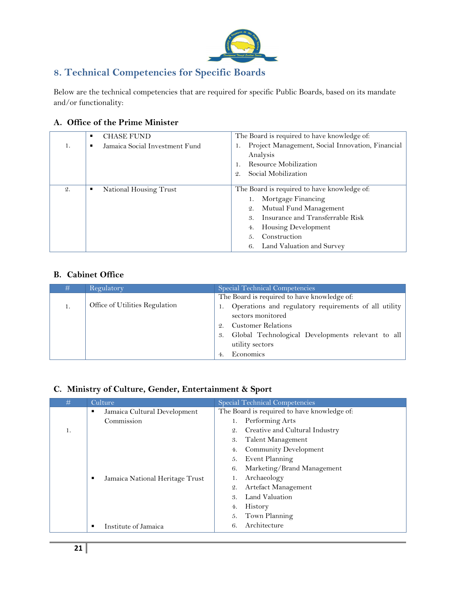

## <span id="page-20-0"></span>**8. Technical Competencies for Specific Boards**

Below are the technical competencies that are required for specific Public Boards, based on its mandate and/or functionality:

|                 | <b>CHASE FUND</b><br>٠         | The Board is required to have knowledge of:                                                                                                                                                                                       |
|-----------------|--------------------------------|-----------------------------------------------------------------------------------------------------------------------------------------------------------------------------------------------------------------------------------|
| 1.              | Jamaica Social Investment Fund | Project Management, Social Innovation, Financial<br>1.<br>Analysis<br>Resource Mobilization<br>Social Mobilization<br>$\mathcal{Q}$ .                                                                                             |
| $\mathcal{Q}$ . | National Housing Trust         | The Board is required to have knowledge of:<br>Mortgage Financing<br>Mutual Fund Management<br>2.<br>Insurance and Transferrable Risk<br>3.<br>Housing Development<br>4.<br>Construction<br>5.<br>Land Valuation and Survey<br>6. |

#### <span id="page-20-1"></span>**A. Office of the Prime Minister**

#### <span id="page-20-2"></span>**B. Cabinet Office**

| # | Regulatory                     | Special Technical Competencies                                                                                                                                                                                                                                |
|---|--------------------------------|---------------------------------------------------------------------------------------------------------------------------------------------------------------------------------------------------------------------------------------------------------------|
|   | Office of Utilities Regulation | The Board is required to have knowledge of:<br>Operations and regulatory requirements of all utility<br>sectors monitored<br><b>Customer Relations</b><br>2.<br>Global Technological Developments relevant to all<br>3.<br>utility sectors<br>Economics<br>4. |

#### <span id="page-20-3"></span>**C. Ministry of Culture, Gender, Entertainment & Sport**

| #  | Culture                           | Special Technical Competencies                    |
|----|-----------------------------------|---------------------------------------------------|
|    | Jamaica Cultural Development<br>٠ | The Board is required to have knowledge of:       |
|    | Commission                        | Performing Arts                                   |
| 1. |                                   | Creative and Cultural Industry<br>$\mathfrak{2}.$ |
|    |                                   | Talent Management<br>3.                           |
|    |                                   | <b>Community Development</b><br>4.                |
|    |                                   | Event Planning<br>5.                              |
|    |                                   | Marketing/Brand Management<br>6.                  |
|    | Jamaica National Heritage Trust   | Archaeology                                       |
|    |                                   | Artefact Management<br>$\mathcal{Q}$ .            |
|    |                                   | Land Valuation<br>3.                              |
|    |                                   | History<br>4.                                     |
|    |                                   | Town Planning<br>5.                               |
|    | Institute of Jamaica              | Architecture<br>6.                                |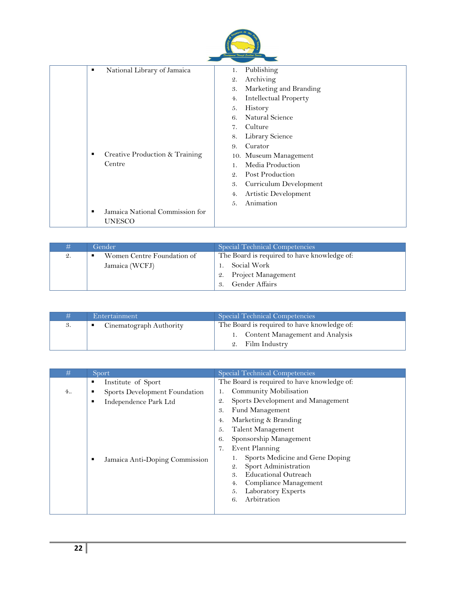|                                      | Development Varough Excellent Servic |
|--------------------------------------|--------------------------------------|
| National Library of Jamaica<br>٠     | Publishing<br>1.                     |
|                                      | Archiving<br>2.                      |
|                                      | Marketing and Branding<br>3.         |
|                                      | <b>Intellectual Property</b><br>4.   |
|                                      | History<br>5.                        |
|                                      | <b>Natural Science</b><br>6.         |
|                                      | Culture<br>7.                        |
|                                      | Library Science<br>8.                |
|                                      | Curator<br>9.                        |
| Creative Production & Training<br>п  | 10. Museum Management                |
| Centre                               | Media Production<br>1.               |
|                                      | Post Production<br>$\mathcal{Q}$ .   |
|                                      | Curriculum Development<br>3.         |
|                                      | Artistic Development<br>4.           |
|                                      | Animation<br>5.                      |
| Jamaica National Commission for<br>٠ |                                      |
| <b>UNESCO</b>                        |                                      |

**A Finance & the Red.** 

| #  | Gender                                       | Special Technical Competencies                                                      |
|----|----------------------------------------------|-------------------------------------------------------------------------------------|
| 2. | Women Centre Foundation of<br>Jamaica (WCFJ) | The Board is required to have knowledge of:<br>Social Work<br>2. Project Management |
|    |                                              | <b>Gender Affairs</b>                                                               |

| Entertainment           | Special Technical Competencies              |
|-------------------------|---------------------------------------------|
| Cinematograph Authority | The Board is required to have knowledge of: |
|                         | 1. Content Management and Analysis          |
|                         | 2. Film Industry                            |

| # | <b>Sport</b>                        | Special Technical Competencies                       |
|---|-------------------------------------|------------------------------------------------------|
|   | Institute of Sport<br>■             | The Board is required to have knowledge of:          |
| 4 | Sports Development Foundation<br>▪  | Community Mobilisation<br>1.                         |
|   | Independence Park Ltd<br>▪          | Sports Development and Management<br>$\mathfrak{D}.$ |
|   |                                     | Fund Management<br>3.                                |
|   |                                     | Marketing & Branding<br>4.                           |
|   |                                     | Talent Management<br>5.                              |
|   |                                     | Sponsorship Management<br>6.                         |
|   |                                     | Event Planning<br>7.                                 |
|   | Jamaica Anti-Doping Commission<br>п | Sports Medicine and Gene Doping                      |
|   |                                     | Sport Administration<br>$\mathfrak{D}.$              |
|   |                                     | <b>Educational Outreach</b><br>3.                    |
|   |                                     | Compliance Management<br>4.                          |
|   |                                     | Laboratory Experts<br>5.                             |
|   |                                     | Arbitration<br>6.                                    |
|   |                                     |                                                      |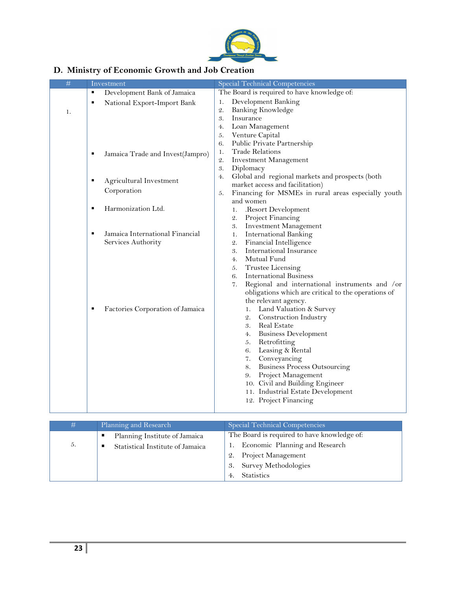

## <span id="page-22-0"></span>**D. Ministry of Economic Growth and Job Creation**

| $\#$ | Investment                            | <b>Special Technical Competencies</b>                                    |
|------|---------------------------------------|--------------------------------------------------------------------------|
|      | Development Bank of Jamaica<br>٠      | The Board is required to have knowledge of:                              |
|      | National Export-Import Bank<br>П      | Development Banking<br>1.                                                |
| 1.   |                                       | <b>Banking Knowledge</b><br>$\mathfrak{2}.$                              |
|      |                                       | 3.<br>Insurance                                                          |
|      |                                       | Loan Management<br>4.                                                    |
|      |                                       | Venture Capital<br>5.                                                    |
|      |                                       | Public Private Partnership<br>6.                                         |
|      | Jamaica Trade and Invest(Jampro)<br>п | <b>Trade Relations</b><br>1.                                             |
|      |                                       | $\mathcal{Q}$ .<br>Investment Management                                 |
|      |                                       | Diplomacy<br>3.<br>Global and regional markets and prospects (both<br>4. |
|      | Agricultural Investment<br>٠          | market access and facilitation)                                          |
|      | Corporation                           | Financing for MSMEs in rural areas especially youth<br>5.                |
|      |                                       | and women                                                                |
|      | Harmonization Ltd.<br>٠               | .Resort Development<br>1.                                                |
|      |                                       | Project Financing<br>$\mathfrak{2}.$                                     |
|      |                                       | Investment Management<br>3.                                              |
|      | Jamaica International Financial<br>п  | <b>International Banking</b><br>1.                                       |
|      | Services Authority                    | Financial Intelligence<br>$\mathfrak{2}.$                                |
|      |                                       | International Insurance<br>3.                                            |
|      |                                       | Mutual Fund<br>4.                                                        |
|      |                                       | Trustee Licensing<br>5.                                                  |
|      |                                       | <b>International Business</b><br>6.                                      |
|      |                                       | Regional and international instruments and /or<br>7.                     |
|      |                                       | obligations which are critical to the operations of                      |
|      | ٠                                     | the relevant agency.<br>Land Valuation & Survey<br>1.                    |
|      | Factories Corporation of Jamaica      | Construction Industry<br>2.                                              |
|      |                                       | <b>Real Estate</b><br>3.                                                 |
|      |                                       | <b>Business Development</b><br>4.                                        |
|      |                                       | Retrofitting<br>5.                                                       |
|      |                                       | Leasing & Rental<br>6.                                                   |
|      |                                       | Conveyancing<br>7.                                                       |
|      |                                       | <b>Business Process Outsourcing</b><br>8.                                |
|      |                                       | Project Management<br>9.                                                 |
|      |                                       | 10. Civil and Building Engineer                                          |
|      |                                       | 11. Industrial Estate Development                                        |
|      |                                       | 12. Project Financing                                                    |
|      |                                       |                                                                          |

| #  | Planning and Research            | Special Technical Competencies              |
|----|----------------------------------|---------------------------------------------|
|    | Planning Institute of Jamaica    | The Board is required to have knowledge of: |
| 5. | Statistical Institute of Jamaica | Economic Planning and Research              |
|    |                                  | Project Management<br>2.                    |
|    |                                  | Survey Methodologies<br>3.                  |
|    |                                  | <b>Statistics</b>                           |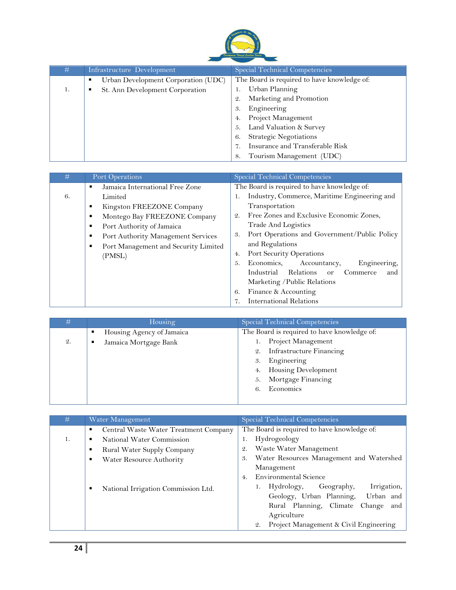

| #  | Infrastructure Development               | Special Technical Competencies              |
|----|------------------------------------------|---------------------------------------------|
|    | Urban Development Corporation (UDC)<br>٠ | The Board is required to have knowledge of: |
| 1. | St. Ann Development Corporation<br>٠     | Urban Planning<br>1.                        |
|    |                                          | Marketing and Promotion<br>$\mathfrak{D}.$  |
|    |                                          | Engineering<br>3.                           |
|    |                                          | Project Management<br>4.                    |
|    |                                          | 5. Land Valuation & Survey                  |
|    |                                          | <b>Strategic Negotiations</b><br>6.         |
|    |                                          | Insurance and Transferable Risk             |
|    |                                          | Tourism Management (UDC)<br>8.              |

| #  | Port Operations                                                                                                                                                                                                                                  | Special Technical Competencies                                                                                                                                                                                                                                                                                                                                                                                                                                                                                       |
|----|--------------------------------------------------------------------------------------------------------------------------------------------------------------------------------------------------------------------------------------------------|----------------------------------------------------------------------------------------------------------------------------------------------------------------------------------------------------------------------------------------------------------------------------------------------------------------------------------------------------------------------------------------------------------------------------------------------------------------------------------------------------------------------|
| 6. | Jamaica International Free Zone<br>Limited<br>Kingston FREEZONE Company<br>Montego Bay FREEZONE Company<br>п<br>Port Authority of Jamaica<br>п<br>Port Authority Management Services<br>п<br>Port Management and Security Limited<br>п<br>(PMSL) | The Board is required to have knowledge of:<br>Industry, Commerce, Maritime Engineering and<br>Transportation<br>Free Zones and Exclusive Economic Zones,<br>2.<br>Trade And Logistics<br>Port Operations and Government/Public Policy<br>3.<br>and Regulations<br>Port Security Operations<br>4.<br>Engineering,<br>Economics,<br>Accountancy,<br>5.<br>Industrial<br>Relations<br>Commerce<br><sub>or</sub><br>and<br>Marketing / Public Relations<br>Finance & Accounting<br>6.<br><b>International Relations</b> |

| #               | Housing                   | Special Technical Competencies              |
|-----------------|---------------------------|---------------------------------------------|
|                 | Housing Agency of Jamaica | The Board is required to have knowledge of: |
| $\mathfrak{2}.$ | Jamaica Mortgage Bank     | Project Management                          |
|                 |                           | 2. Infrastructure Financing                 |
|                 |                           | Engineering<br>3.                           |
|                 |                           | <b>Housing Development</b><br>4.            |
|                 |                           | 5. Mortgage Financing                       |
|                 |                           | Economics<br>6.                             |
|                 |                           |                                             |

| #  | Water Management                                                                                                                                              | Special Technical Competencies                                                                                                                                                                                          |
|----|---------------------------------------------------------------------------------------------------------------------------------------------------------------|-------------------------------------------------------------------------------------------------------------------------------------------------------------------------------------------------------------------------|
| 1. | Central Waste Water Treatment Company<br>٠<br>National Water Commission<br>٠<br>Rural Water Supply Company<br>п<br>Water Resource Authority<br>$\blacksquare$ | The Board is required to have knowledge of:<br>Hydrogeology<br>Waste Water Management<br>Water Resources Management and Watershed<br>3.<br>Management                                                                   |
|    | National Irrigation Commission Ltd.<br>п                                                                                                                      | Environmental Science<br>4.<br>Irrigation,<br>Geography,<br>1. Hydrology,<br>Urban and<br>Geology, Urban Planning,<br>Rural Planning, Climate Change and<br>Agriculture<br>Project Management & Civil Engineering<br>2. |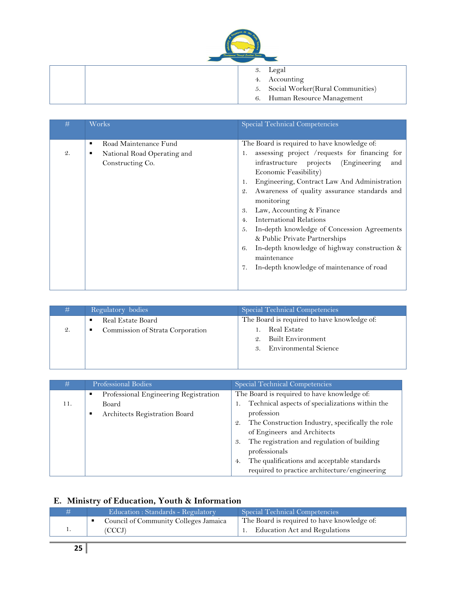

|  |  | 3. Legal                            |
|--|--|-------------------------------------|
|  |  | 4. Accounting                       |
|  |  | 5. Social Worker(Rural Communities) |
|  |  | 6. Human Resource Management        |

| #               | Works                                                                         | Special Technical Competencies                                                                                                                                                                                                                                                                      |
|-----------------|-------------------------------------------------------------------------------|-----------------------------------------------------------------------------------------------------------------------------------------------------------------------------------------------------------------------------------------------------------------------------------------------------|
| $\mathcal{Q}$ . | Road Maintenance Fund<br>٠<br>National Road Operating and<br>Constructing Co. | The Board is required to have knowledge of:<br>assessing project /requests for financing for<br>infrastructure projects (Engineering<br>and<br>Economic Feasibility)<br>Engineering, Contract Law And Administration<br>1.<br>Awareness of quality assurance standards and<br>$\mathcal{Q}$ .       |
|                 |                                                                               | monitoring<br>Law, Accounting & Finance<br>3.<br><b>International Relations</b><br>4.<br>In-depth knowledge of Concession Agreements<br>5.<br>& Public Private Partnerships<br>In-depth knowledge of highway construction &<br>6.<br>maintenance<br>In-depth knowledge of maintenance of road<br>7. |

| #               | Regulatory bodies                                               | Special Technical Competencies                                    |
|-----------------|-----------------------------------------------------------------|-------------------------------------------------------------------|
| $\mathfrak{D}.$ | Real Estate Board<br>٠<br>Commission of Strata Corporation<br>п | The Board is required to have knowledge of:<br><b>Real Estate</b> |
|                 |                                                                 | 2. Built Environment<br>3. Environmental Science                  |

| #   | Professional Bodies                                                                                    | Special Technical Competencies                                                                                                                                                                                                                                                                                                                                                    |
|-----|--------------------------------------------------------------------------------------------------------|-----------------------------------------------------------------------------------------------------------------------------------------------------------------------------------------------------------------------------------------------------------------------------------------------------------------------------------------------------------------------------------|
| 11. | Professional Engineering Registration<br>٠<br>Board<br>Architects Registration Board<br>$\blacksquare$ | The Board is required to have knowledge of:<br>1. Technical aspects of specializations within the<br>profession<br>2. The Construction Industry, specifically the role<br>of Engineers and Architects<br>The registration and regulation of building<br>3.<br>professionals<br>The qualifications and acceptable standards<br>4.<br>required to practice architecture/engineering |

## <span id="page-24-0"></span>**E. Ministry of Education, Youth & Information**

| Education : Standards - Regulatory    | Special Technical Competencies              |
|---------------------------------------|---------------------------------------------|
| Council of Community Colleges Jamaica | The Board is required to have knowledge of: |
| (CCCJ)                                | 1. Education Act and Regulations            |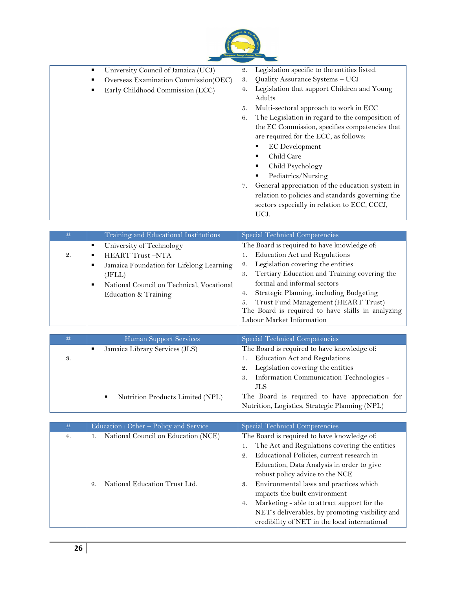

| ٠ | University Council of Jamaica (UCJ)  | Legislation specific to the entities listed.<br>$\mathcal{Q}$ . |
|---|--------------------------------------|-----------------------------------------------------------------|
| ٠ | Overseas Examination Commission(OEC) | Quality Assurance Systems - UCJ<br>3.                           |
|   | Early Childhood Commission (ECC)     | Legislation that support Children and Young<br>4.               |
|   |                                      | Adults                                                          |
|   |                                      | Multi-sectoral approach to work in ECC<br>5.                    |
|   |                                      | The Legislation in regard to the composition of<br>6.           |
|   |                                      | the EC Commission, specifies competencies that                  |
|   |                                      | are required for the ECC, as follows:                           |
|   |                                      | <b>EC</b> Development<br>в                                      |
|   |                                      | Child Care<br>п                                                 |
|   |                                      | Child Psychology<br>п                                           |
|   |                                      | Pediatrics/Nursing<br>٠                                         |
|   |                                      | General appreciation of the education system in<br>7.           |
|   |                                      | relation to policies and standards governing the                |
|   |                                      | sectors especially in relation to ECC, CCCJ,                    |
|   |                                      | UCJ.                                                            |

| #  | Training and Educational Institutions          | Special Technical Competencies                     |
|----|------------------------------------------------|----------------------------------------------------|
|    | University of Technology<br>٠                  | The Board is required to have knowledge of:        |
| 2. | <b>HEART Trust-NTA</b>                         | <b>Education Act and Regulations</b>               |
|    | Jamaica Foundation for Lifelong Learning<br>٠  | Legislation covering the entities<br>2.            |
|    | (JFLL)                                         | Tertiary Education and Training covering the<br>3. |
|    | National Council on Technical, Vocational<br>٠ | formal and informal sectors                        |
|    | Education & Training                           | Strategic Planning, including Budgeting<br>4.      |
|    |                                                | Trust Fund Management (HEART Trust)                |
|    |                                                | The Board is required to have skills in analyzing  |
|    |                                                | Labour Market Information                          |

| #  | Human Support Services                             | Special Technical Competencies                 |
|----|----------------------------------------------------|------------------------------------------------|
|    | Jamaica Library Services (JLS)<br>п                | The Board is required to have knowledge of:    |
| 3. |                                                    | <b>Education Act and Regulations</b>           |
|    |                                                    | Legislation covering the entities<br>2.        |
|    |                                                    | Information Communication Technologies -<br>3. |
|    |                                                    | ЛS                                             |
|    | Nutrition Products Limited (NPL)<br>$\blacksquare$ | The Board is required to have appreciation for |
|    |                                                    | Nutrition, Logistics, Strategic Planning (NPL) |

| #  | Education : Other - Policy and Service           | Special Technical Competencies                               |
|----|--------------------------------------------------|--------------------------------------------------------------|
| 4. | National Council on Education (NCE)<br>1.        | The Board is required to have knowledge of:                  |
|    |                                                  | The Act and Regulations covering the entities                |
|    |                                                  | Educational Policies, current research in<br>$\mathcal{Q}$ . |
|    |                                                  | Education, Data Analysis in order to give                    |
|    |                                                  | robust policy advice to the NCE                              |
|    | National Education Trust Ltd.<br>$\mathcal{Q}$ . | Environmental laws and practices which<br>3.                 |
|    |                                                  | impacts the built environment                                |
|    |                                                  | Marketing - able to attract support for the<br>4.            |
|    |                                                  | NET's deliverables, by promoting visibility and              |
|    |                                                  | credibility of NET in the local international                |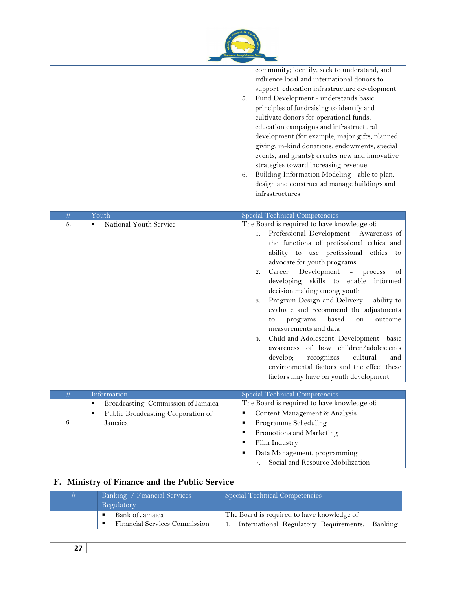

|  |    | community; identify, seek to understand, and    |
|--|----|-------------------------------------------------|
|  |    | influence local and international donors to     |
|  |    | support education infrastructure development    |
|  | 5. | Fund Development - understands basic            |
|  |    | principles of fundraising to identify and       |
|  |    | cultivate donors for operational funds,         |
|  |    | education campaigns and infrastructural         |
|  |    | development (for example, major gifts, planned  |
|  |    | giving, in-kind donations, endowments, special  |
|  |    | events, and grants); creates new and innovative |
|  |    | strategies toward increasing revenue.           |
|  | 6. | Building Information Modeling - able to plan,   |
|  |    | design and construct ad manage buildings and    |
|  |    | infrastructures                                 |
|  |    |                                                 |

| #  | Information                        | Special Technical Competencies              |
|----|------------------------------------|---------------------------------------------|
|    | Broadcasting Commission of Jamaica | The Board is required to have knowledge of: |
|    | Public Broadcasting Corporation of | Content Management & Analysis               |
| 6. | Jamaica                            | Programme Scheduling                        |
|    |                                    | Promotions and Marketing                    |
|    |                                    | Film Industry                               |
|    |                                    | Data Management, programming                |
|    |                                    | Social and Resource Mobilization            |

## <span id="page-26-0"></span>**F. Ministry of Finance and the Public Service**

| Banking / Financial Services<br>Regulatory                     | Special Technical Competencies                                                                   |
|----------------------------------------------------------------|--------------------------------------------------------------------------------------------------|
| ■ Bank of Jamaica<br><b>Financial Services Commission</b><br>٠ | The Board is required to have knowledge of:<br>1. International Regulatory Requirements, Banking |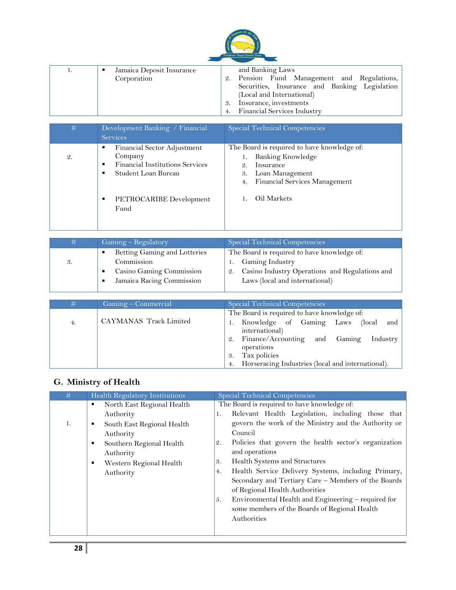

| 1. | Jamaica Deposit Insurance | and Banking Laws                               |
|----|---------------------------|------------------------------------------------|
|    | Corporation               | Pension Fund Management and Regulations,<br>2. |
|    |                           | Securities, Insurance and Banking Legislation  |
|    |                           | (Local and International)                      |
|    |                           | Insurance, investments                         |
|    |                           | 4. Financial Services Industry                 |

| #               | Development Banking / Financial<br><b>Services</b>                                                              | Special Technical Competencies                                                                                                                      |
|-----------------|-----------------------------------------------------------------------------------------------------------------|-----------------------------------------------------------------------------------------------------------------------------------------------------|
| $\mathcal{Q}$ . | Financial Sector Adjustment<br>٠<br>Company<br>Financial Institutions Services<br>п<br>Student Loan Bureau<br>п | The Board is required to have knowledge of:<br>Banking Knowledge<br>Insurance<br>2.<br>Loan Management<br>3.<br>Financial Services Management<br>4. |
|                 | PETROCARIBE Development<br>٠<br>Fund                                                                            | Oil Markets                                                                                                                                         |

| #  | Gaming - Regulatory            | Special Technical Competencies                    |
|----|--------------------------------|---------------------------------------------------|
|    | Betting Gaming and Lotteries   | The Board is required to have knowledge of:       |
| 3. | Commission                     | 1. Gaming Industry                                |
|    | Casino Gaming Commission       | 2. Casino Industry Operations and Regulations and |
|    | Jamaica Racing Commission<br>٠ | Laws (local and international)                    |

| #  | Gaming – Commercial    | Special Technical Competencies                             |
|----|------------------------|------------------------------------------------------------|
|    |                        | The Board is required to have knowledge of:                |
| 4. | CAYMANAS Track Limited | Knowledge of Gaming Laws (local and<br>international)      |
|    |                        | Finance/Accounting and Gaming Industry<br>2.<br>operations |
|    |                        | Tax policies<br>3.                                         |
|    |                        | Horseracing Industries (local and international).<br>4.    |

## <span id="page-27-0"></span>**G. Ministry of Health**

| The Board is required to have knowledge of:<br>North East Regional Health<br>٠<br>Authority<br>1.                                                                                                                                                                     |                                                                                                                                                                                                                                                                                                                                         |
|-----------------------------------------------------------------------------------------------------------------------------------------------------------------------------------------------------------------------------------------------------------------------|-----------------------------------------------------------------------------------------------------------------------------------------------------------------------------------------------------------------------------------------------------------------------------------------------------------------------------------------|
| 1.<br>South East Regional Health<br>٠<br>Council<br>Authority<br>2.<br>Southern Regional Health<br>٠<br>and operations<br>Authority<br>Health Systems and Structures<br>3.<br>Western Regional Health<br>٠<br>4.<br>Authority<br>of Regional Health Authorities<br>5. | Relevant Health Legislation, including those that<br>govern the work of the Ministry and the Authority or<br>Policies that govern the health sector's organization<br>Health Service Delivery Systems, including Primary,<br>Secondary and Tertiary Care - Members of the Boards<br>Environmental Health and Engineering - required for |
| Authorities                                                                                                                                                                                                                                                           | some members of the Boards of Regional Health                                                                                                                                                                                                                                                                                           |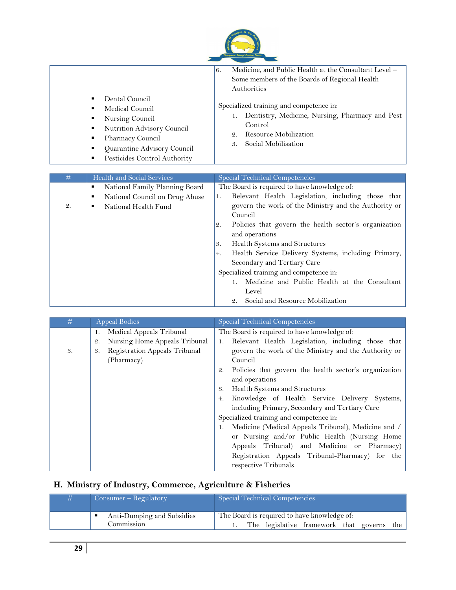

| Dental Council<br>٠<br>Medical Council<br>٠<br>Nursing Council<br>Nutrition Advisory Council<br>Pharmacy Council<br>Quarantine Advisory Council<br>٠ | Medicine, and Public Health at the Consultant Level -<br>6.<br>Some members of the Boards of Regional Health<br>Authorities<br>Specialized training and competence in:<br>Dentistry, Medicine, Nursing, Pharmacy and Pest<br>Control<br>2. Resource Mobilization<br>3. Social Mobilisation |
|------------------------------------------------------------------------------------------------------------------------------------------------------|--------------------------------------------------------------------------------------------------------------------------------------------------------------------------------------------------------------------------------------------------------------------------------------------|
| Pesticides Control Authority                                                                                                                         |                                                                                                                                                                                                                                                                                            |

| #               | Health and Social Services          | Special Technical Competencies                              |
|-----------------|-------------------------------------|-------------------------------------------------------------|
|                 | National Family Planning Board<br>٠ | The Board is required to have knowledge of:                 |
|                 | National Council on Drug Abuse<br>٠ | Relevant Health Legislation, including those that<br>1.     |
| $\mathcal{Q}$ . | National Health Fund<br>٠           | govern the work of the Ministry and the Authority or        |
|                 |                                     | Council                                                     |
|                 |                                     | Policies that govern the health sector's organization<br>2. |
|                 |                                     | and operations                                              |
|                 |                                     | Health Systems and Structures<br><sup>3.</sup>              |
|                 |                                     | Health Service Delivery Systems, including Primary,<br>4.   |
|                 |                                     | Secondary and Tertiary Care                                 |
|                 |                                     | Specialized training and competence in:                     |
|                 |                                     | Medicine and Public Health at the Consultant                |
|                 |                                     | Level                                                       |
|                 |                                     | Social and Resource Mobilization<br>$\mathcal{Q}_1$         |

| #  | <b>Appeal Bodies</b>                             | Special Technical Competencies                              |
|----|--------------------------------------------------|-------------------------------------------------------------|
|    | Medical Appeals Tribunal<br>1.                   | The Board is required to have knowledge of:                 |
|    | Nursing Home Appeals Tribunal<br>$\mathfrak{2}.$ | Relevant Health Legislation, including those that           |
| 3. | Registration Appeals Tribunal<br>3.              | govern the work of the Ministry and the Authority or        |
|    | (Pharmacy)                                       | Council                                                     |
|    |                                                  | Policies that govern the health sector's organization<br>2. |
|    |                                                  | and operations                                              |
|    |                                                  | Health Systems and Structures<br>3.                         |
|    |                                                  | Knowledge of Health Service Delivery Systems,<br>4.         |
|    |                                                  | including Primary, Secondary and Tertiary Care              |
|    |                                                  | Specialized training and competence in:                     |
|    |                                                  | Medicine (Medical Appeals Tribunal), Medicine and /<br>1.   |
|    |                                                  | or Nursing and/or Public Health (Nursing Home               |
|    |                                                  | Appeals Tribunal) and Medicine or Pharmacy)                 |
|    |                                                  | Registration Appeals Tribunal-Pharmacy) for the             |
|    |                                                  | respective Tribunals                                        |

# <span id="page-28-0"></span>**H. Ministry of Industry, Commerce, Agriculture & Fisheries**

| # | $Consumer - Regularory$                    | Special Technical Competencies                                                               |
|---|--------------------------------------------|----------------------------------------------------------------------------------------------|
|   | • Anti-Dumping and Subsidies<br>Commission | The Board is required to have knowledge of:<br>1. The legislative framework that governs the |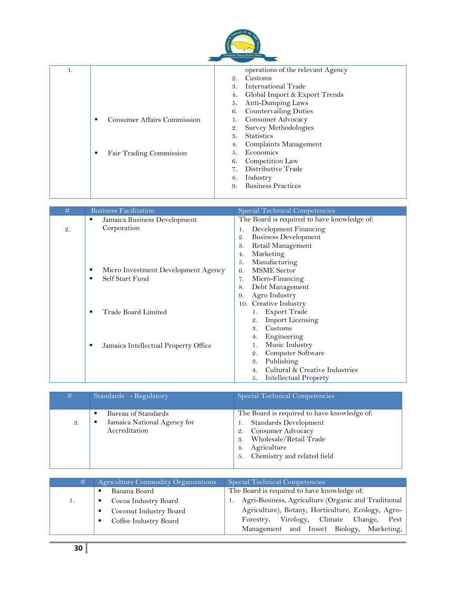

| 1. |                                    | operations of the relevant Agency    |
|----|------------------------------------|--------------------------------------|
|    |                                    | Customs<br>$\mathcal{Q}$ .           |
|    |                                    | International Trade<br>3.            |
|    |                                    | Global Import & Export Trends<br>4.  |
|    |                                    | Anti-Dumping Laws<br>5.              |
|    |                                    | <b>Countervailing Duties</b><br>6.   |
|    | <b>Consumer Affairs Commission</b> | Consumer Advocacy                    |
|    |                                    | Survey Methodologies<br>2.           |
|    |                                    | <b>Statistics</b><br>$\mathcal{S}$ . |
|    |                                    | Complaints Management<br>4.          |
|    | Fair Trading Commission            | Economics<br>5.                      |
|    |                                    | Competition Law<br>6.                |
|    |                                    | Distributive Trade                   |
|    |                                    | Industry<br>8.                       |
|    |                                    | <b>Business Practices</b><br>9.      |
|    |                                    |                                      |

| $\#$            | <b>Business Facilitation</b>              | Special Technical Competencies                 |
|-----------------|-------------------------------------------|------------------------------------------------|
|                 | Jamaica Business Development<br>٠         | The Board is required to have knowledge of:    |
| $\mathcal{Q}$ . | Corporation                               | Development Financing<br>1.                    |
|                 |                                           | <b>Business Development</b><br>$\mathcal{Q}$ . |
|                 |                                           | Retail Management<br>3.                        |
|                 |                                           | Marketing<br>4.                                |
|                 |                                           | Manufacturing<br>5.                            |
|                 | Micro Investment Development Agency<br>٠  | <b>MSME</b> Sector<br>6.                       |
|                 | Self Start Fund<br>$\blacksquare$         | Micro-Financing<br>7.                          |
|                 |                                           | Debt Management<br>8.                          |
|                 |                                           | Agro Industry<br>9.                            |
|                 |                                           | Creative Industry<br>10.                       |
|                 | Trade Board Limited<br>п                  | <b>Export Trade</b>                            |
|                 |                                           | <b>Import Licensing</b><br>2.                  |
|                 |                                           | Customs<br>3.                                  |
|                 |                                           | Engineering<br>4.                              |
|                 | Jamaica Intellectual Property Office<br>٠ | Music Industry                                 |
|                 |                                           | Computer Software<br>2.                        |
|                 |                                           | Publishing<br>3.                               |
|                 |                                           | Cultural & Creative Industries<br>4.           |
|                 |                                           | Intellectual Property<br>5.                    |

| #  | Standards - Regulatory                                              | Special Technical Competencies                                                                                                                                                            |
|----|---------------------------------------------------------------------|-------------------------------------------------------------------------------------------------------------------------------------------------------------------------------------------|
| 3. | Bureau of Standards<br>Jamaica National Agency for<br>Accreditation | The Board is required to have knowledge of:<br>Standards Development<br>Consumer Advocacy<br>2.<br>Wholesale/Retail Trade<br>3.<br>Agriculture<br>4.<br>Chemistry and related field<br>5. |

| #  | Agriculture Commodity Organizations | Special Technical Competencies                         |
|----|-------------------------------------|--------------------------------------------------------|
|    | Banana Board<br>٠                   | The Board is required to have knowledge of:            |
| 1. | Cocoa Industry Board                | 1. Agri-Business, Agriculture (Organic and Traditional |
|    | Coconut Industry Board<br>٠         | Agriculture), Botany, Horticulture, Ecology, Agro-     |
|    | Coffee Industry Board<br>٠          | Forestry, Virology, Climate Change, Pest               |
|    |                                     | Management and Insect Biology, Marketing,              |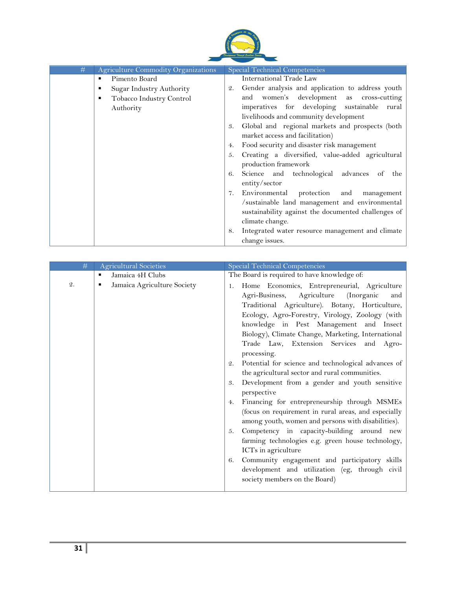

| # | <b>Agriculture Commodity Organizations</b> | Special Technical Competencies                                                           |
|---|--------------------------------------------|------------------------------------------------------------------------------------------|
|   | Pimento Board<br>٠                         | International Trade Law                                                                  |
|   | Sugar Industry Authority<br>٠              | Gender analysis and application to address youth<br>$\mathcal{Q}$ .                      |
|   | Tobacco Industry Control<br>٠              | women's development as cross-cutting<br>and                                              |
|   | Authority                                  | imperatives for developing sustainable<br>rural                                          |
|   |                                            | livelihoods and community development                                                    |
|   |                                            | Global and regional markets and prospects (both<br>3.<br>market access and facilitation) |
|   |                                            | Food security and disaster risk management<br>4.                                         |
|   |                                            | Creating a diversified, value-added agricultural<br>5.<br>production framework           |
|   |                                            | Science and technological advances<br>of<br>the<br>6.<br>entity/sector                   |
|   |                                            | Environmental protection and<br>7.<br>management                                         |
|   |                                            | /sustainable land management and environmental                                           |
|   |                                            | sustainability against the documented challenges of                                      |
|   |                                            | climate change.                                                                          |
|   |                                            | Integrated water resource management and climate<br>8.                                   |
|   |                                            | change issues.                                                                           |

| #               | Agricultural Societies           | <b>Special Technical Competencies</b>                                                                                                                                                                                                                                                                                                                                                                                                                                                                                                                                                                                                                                                                                                                                                                                                                                                                                                                                                                               |
|-----------------|----------------------------------|---------------------------------------------------------------------------------------------------------------------------------------------------------------------------------------------------------------------------------------------------------------------------------------------------------------------------------------------------------------------------------------------------------------------------------------------------------------------------------------------------------------------------------------------------------------------------------------------------------------------------------------------------------------------------------------------------------------------------------------------------------------------------------------------------------------------------------------------------------------------------------------------------------------------------------------------------------------------------------------------------------------------|
|                 | Jamaica 4H Clubs<br>٠            | The Board is required to have knowledge of:                                                                                                                                                                                                                                                                                                                                                                                                                                                                                                                                                                                                                                                                                                                                                                                                                                                                                                                                                                         |
| $\mathcal{Q}$ . | Jamaica Agriculture Society<br>п | Home Economics, Entrepreneurial, Agriculture<br>1.<br>Agri-Business, Agriculture (Inorganic<br>and<br>Traditional Agriculture). Botany, Horticulture,<br>Ecology, Agro-Forestry, Virology, Zoology (with<br>knowledge in Pest Management and Insect<br>Biology), Climate Change, Marketing, International<br>Trade Law, Extension Services and Agro-<br>processing.<br>Potential for science and technological advances of<br>$\mathfrak{D}.$<br>the agricultural sector and rural communities.<br>Development from a gender and youth sensitive<br>3.<br>perspective<br>Financing for entrepreneurship through MSMEs<br>4.<br>(focus on requirement in rural areas, and especially<br>among youth, women and persons with disabilities).<br>Competency in capacity-building around new<br>5.<br>farming technologies e.g. green house technology,<br>ICTs in agriculture<br>Community engagement and participatory skills<br>6.<br>development and utilization (eg, through civil<br>society members on the Board) |
|                 |                                  |                                                                                                                                                                                                                                                                                                                                                                                                                                                                                                                                                                                                                                                                                                                                                                                                                                                                                                                                                                                                                     |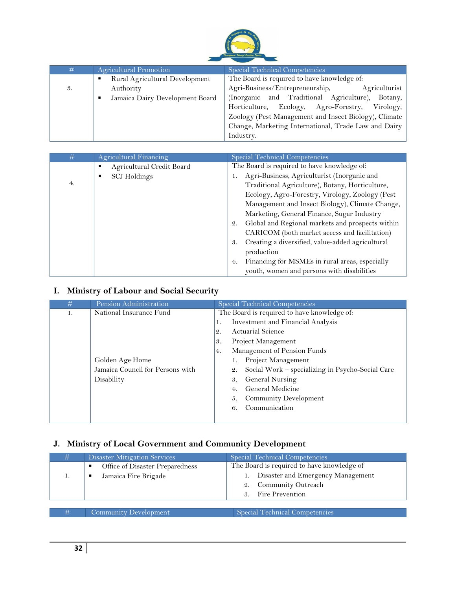

| #  | Agricultural Promotion               | Special Technical Competencies                        |
|----|--------------------------------------|-------------------------------------------------------|
|    | Rural Agricultural Development<br>п  | The Board is required to have knowledge of:           |
| 3. | Authority                            | Agri-Business/Entrepreneurship,<br>Agriculturist      |
|    | Jamaica Dairy Development Board<br>п | (Inorganic and Traditional Agriculture),<br>Botany,   |
|    |                                      | Horticulture, Ecology, Agro-Forestry, Virology,       |
|    |                                      | Zoology (Pest Management and Insect Biology), Climate |
|    |                                      | Change, Marketing International, Trade Law and Dairy  |
|    |                                      | Industry.                                             |

| #  | Agricultural Financing    | Special Technical Competencies                         |
|----|---------------------------|--------------------------------------------------------|
|    | Agricultural Credit Board | The Board is required to have knowledge of:            |
|    | <b>SCJ</b> Holdings       | Agri-Business, Agriculturist (Inorganic and            |
| 4. |                           | Traditional Agriculture), Botany, Horticulture,        |
|    |                           | Ecology, Agro-Forestry, Virology, Zoology (Pest        |
|    |                           | Management and Insect Biology), Climate Change,        |
|    |                           | Marketing, General Finance, Sugar Industry             |
|    |                           | Global and Regional markets and prospects within<br>2. |
|    |                           | CARICOM (both market access and facilitation)          |
|    |                           | Creating a diversified, value-added agricultural<br>3. |
|    |                           | production                                             |
|    |                           | Financing for MSMEs in rural areas, especially<br>4.   |
|    |                           | youth, women and persons with disabilities             |

## <span id="page-31-0"></span>**I. Ministry of Labour and Social Security**

| #  | Pension Administration           | Special Technical Competencies                         |
|----|----------------------------------|--------------------------------------------------------|
| 1. | National Insurance Fund          | The Board is required to have knowledge of:            |
|    |                                  | Investment and Financial Analysis<br>1.                |
|    |                                  | <b>Actuarial Science</b><br>2.                         |
|    |                                  | Project Management<br>3.                               |
|    |                                  | Management of Pension Funds<br>4.                      |
|    | Golden Age Home                  | Project Management                                     |
|    | Jamaica Council for Persons with | Social Work - specializing in Psycho-Social Care<br>2. |
|    | Disability                       | General Nursing<br>3.                                  |
|    |                                  | General Medicine<br>4.                                 |
|    |                                  | <b>Community Development</b><br>5.                     |
|    |                                  | Communication<br>6.                                    |
|    |                                  |                                                        |

## <span id="page-31-1"></span>**J. Ministry of Local Government and Community Development**

| # | Disaster Mitigation Services                                 | Special Technical Competencies                                                                                                    |
|---|--------------------------------------------------------------|-----------------------------------------------------------------------------------------------------------------------------------|
|   | Office of Disaster Preparedness<br>٠<br>Jamaica Fire Brigade | The Board is required to have knowledge of<br>1. Disaster and Emergency Management<br>2. Community Outreach<br>3. Fire Prevention |
| # | Community Development                                        | Special Technical Competencies                                                                                                    |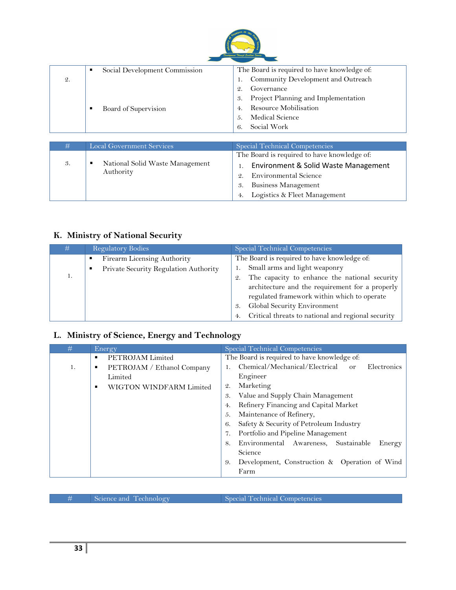

|                 |   | Social Development Commission | The Board is required to have knowledge of: |
|-----------------|---|-------------------------------|---------------------------------------------|
| $\mathfrak{2}.$ |   |                               | Community Development and Outreach          |
|                 |   |                               | Governance<br>2.                            |
|                 |   |                               | Project Planning and Implementation<br>3.   |
|                 | п | Board of Supervision          | Resource Mobilisation                       |
|                 |   |                               | Medical Science<br>5.                       |
|                 |   |                               | Social Work<br>6.                           |
|                 |   |                               |                                             |

| #  | <b>Local Government Services</b> | Special Technical Competencies                        |
|----|----------------------------------|-------------------------------------------------------|
|    |                                  | The Board is required to have knowledge of:           |
| 3. | National Solid Waste Management  | Environment & Solid Waste Management                  |
|    | Authority                        | <b>Environmental Science</b><br>$\mathcal{Q}_{\cdot}$ |
|    |                                  | <b>Business Management</b><br>3.                      |
|    |                                  | Logistics & Fleet Management<br>4.                    |

## <span id="page-32-0"></span>**K. Ministry of National Security**

| #  | Regulatory Bodies                     | Special Technical Competencies                           |
|----|---------------------------------------|----------------------------------------------------------|
|    | Firearm Licensing Authority           | The Board is required to have knowledge of:              |
|    | Private Security Regulation Authority | Small arms and light weaponry                            |
| 1. |                                       | The capacity to enhance the national security<br>2.      |
|    |                                       | architecture and the requirement for a properly          |
|    |                                       | regulated framework within which to operate              |
|    |                                       | Global Security Environment<br>3.                        |
|    |                                       | Critical threats to national and regional security<br>4. |

## <span id="page-32-1"></span>**L. Ministry of Science, Energy and Technology**

| #  | Energy                          | Special Technical Competencies                       |
|----|---------------------------------|------------------------------------------------------|
|    | PETROJAM Limited<br>٠           | The Board is required to have knowledge of:          |
| 1. | PETROJAM / Ethanol Company<br>٠ | Chemical/Mechanical/Electrical<br>Electronics<br>or  |
|    | Limited                         | Engineer                                             |
|    | WIGTON WINDFARM Limited         | Marketing<br>2.                                      |
|    |                                 | Value and Supply Chain Management<br>3.              |
|    |                                 | Refinery Financing and Capital Market<br>4.          |
|    |                                 | Maintenance of Refinery,<br>5.                       |
|    |                                 | Safety & Security of Petroleum Industry<br>6.        |
|    |                                 | Portfolio and Pipeline Management<br>7.              |
|    |                                 | Environmental Awareness, Sustainable<br>Energy<br>8. |
|    |                                 | Science                                              |
|    |                                 | Development, Construction & Operation of Wind<br>9.  |
|    |                                 | Farm                                                 |

| - # | Science and Technology |  |
|-----|------------------------|--|
|     |                        |  |

Special Technical Competencies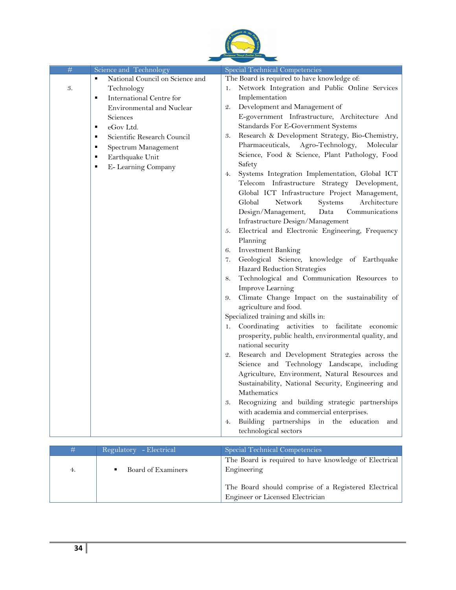

| #  | Science and Technology                            | <b>Special Technical Competencies</b>                                                                            |
|----|---------------------------------------------------|------------------------------------------------------------------------------------------------------------------|
|    | National Council on Science and<br>$\blacksquare$ | The Board is required to have knowledge of:                                                                      |
| 3. | Technology                                        | Network Integration and Public Online Services<br>1.                                                             |
|    | International Centre for<br>$\blacksquare$        | Implementation                                                                                                   |
|    | Environmental and Nuclear                         | Development and Management of<br>2.                                                                              |
|    | Sciences                                          | E-government Infrastructure, Architecture And                                                                    |
|    | eGov Ltd.<br>٠                                    | Standards For E-Government Systems                                                                               |
|    | Scientific Research Council<br>$\blacksquare$     | Research & Development Strategy, Bio-Chemistry,<br>3.                                                            |
|    | Spectrum Management<br>٠                          | Pharmaceuticals, Agro-Technology,<br>Molecular                                                                   |
|    | Earthquake Unit<br>$\blacksquare$                 | Science, Food & Science, Plant Pathology, Food                                                                   |
|    | ٠                                                 | Safety                                                                                                           |
|    | E-Learning Company                                | Systems Integration Implementation, Global ICT<br>4.                                                             |
|    |                                                   | Telecom Infrastructure Strategy Development,                                                                     |
|    |                                                   | Global ICT Infrastructure Project Management,                                                                    |
|    |                                                   | Global<br>Network<br>Systems<br>Architecture                                                                     |
|    |                                                   | Design/Management,<br>Data<br>Communications                                                                     |
|    |                                                   | Infrastructure Design/Management                                                                                 |
|    |                                                   | Electrical and Electronic Engineering, Frequency<br>5.                                                           |
|    |                                                   | Planning                                                                                                         |
|    |                                                   | <b>Investment Banking</b><br>6.                                                                                  |
|    |                                                   | 7.<br>Geological Science, knowledge of Earthquake                                                                |
|    |                                                   | <b>Hazard Reduction Strategies</b>                                                                               |
|    |                                                   | Technological and Communication Resources to<br>8.                                                               |
|    |                                                   | Improve Learning                                                                                                 |
|    |                                                   | Climate Change Impact on the sustainability of<br>9.                                                             |
|    |                                                   | agriculture and food.                                                                                            |
|    |                                                   | Specialized training and skills in:                                                                              |
|    |                                                   | Coordinating activities to facilitate economic<br>1.                                                             |
|    |                                                   | prosperity, public health, environmental quality, and                                                            |
|    |                                                   | national security                                                                                                |
|    |                                                   | Research and Development Strategies across the<br>$\mathfrak{2}.$<br>Science and Technology Landscape, including |
|    |                                                   | Agriculture, Environment, Natural Resources and                                                                  |
|    |                                                   | Sustainability, National Security, Engineering and                                                               |
|    |                                                   | Mathematics                                                                                                      |
|    |                                                   | Recognizing and building strategic partnerships<br>3.                                                            |
|    |                                                   | with academia and commercial enterprises.                                                                        |
|    |                                                   | Building partnerships in the education<br>4.<br>and                                                              |
|    |                                                   | technological sectors                                                                                            |
|    |                                                   |                                                                                                                  |

| #  | Regulatory - Electrical | Special Technical Competencies                                                           |
|----|-------------------------|------------------------------------------------------------------------------------------|
| 4. | Board of Examiners      | The Board is required to have knowledge of Electrical<br>Engineering                     |
|    |                         | The Board should comprise of a Registered Electrical<br>Engineer or Licensed Electrician |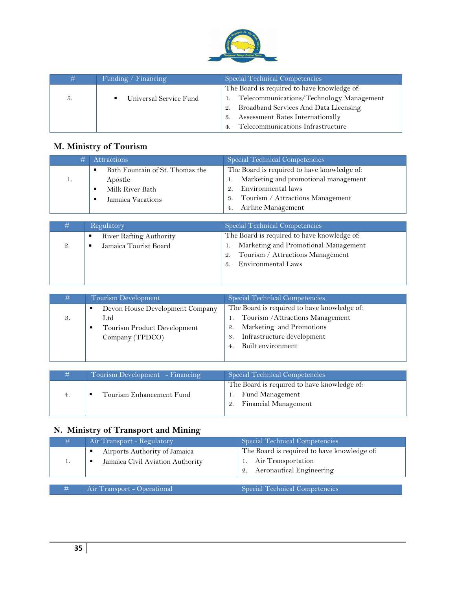

| #  | Funding / Financing    | Special Technical Competencies                                                                                                                                                                                              |
|----|------------------------|-----------------------------------------------------------------------------------------------------------------------------------------------------------------------------------------------------------------------------|
| 5. | Universal Service Fund | The Board is required to have knowledge of:<br>1. Telecommunications/Technology Management<br>2. Broadband Services And Data Licensing<br>Assessment Rates Internationally<br>3.<br>Telecommunications Infrastructure<br>4. |

## <span id="page-34-0"></span>**M. Ministry of Tourism**

| #  | <b>Attractions</b>                                                                                | Special Technical Competencies                                                                                                                                                                        |
|----|---------------------------------------------------------------------------------------------------|-------------------------------------------------------------------------------------------------------------------------------------------------------------------------------------------------------|
| 1. | Bath Fountain of St. Thomas the<br>п<br>Apostle<br>Milk River Bath<br>п<br>Jamaica Vacations<br>п | The Board is required to have knowledge of:<br>Marketing and promotional management<br>Environmental laws<br>$\mathcal{Q}_{\cdot}$<br>3. Tourism / Attractions Management<br>Airline Management<br>4. |
|    |                                                                                                   |                                                                                                                                                                                                       |
| #  | Regulatory                                                                                        | <b>Special Technical Competencies</b>                                                                                                                                                                 |
|    | $\sim$ $\sim$<br>$\sim$ .<br>$\cdots$                                                             | $\mathbf{m}$ $\mathbf{n}$ $\mathbf{u}$ $\mathbf{v}$ $\mathbf{v}$ $\mathbf{v}$ $\mathbf{v}$ $\mathbf{v}$<br>$\mathbf{1}$                                                                               |

| #  | Regulatory                     | Special Technical Competencies              |
|----|--------------------------------|---------------------------------------------|
|    | <b>River Rafting Authority</b> | The Board is required to have knowledge of: |
| 2. | Jamaica Tourist Board          | 1. Marketing and Promotional Management     |
|    |                                | 2. Tourism / Attractions Management         |
|    |                                | Environmental Laws<br>3.                    |
|    |                                |                                             |
|    |                                |                                             |

| #  | Tourism Development                                                                           | Special Technical Competencies                                                                                                                                                   |
|----|-----------------------------------------------------------------------------------------------|----------------------------------------------------------------------------------------------------------------------------------------------------------------------------------|
| 3. | Devon House Development Company<br>٠<br>Ltd<br>Tourism Product Development<br>Company (TPDCO) | The Board is required to have knowledge of:<br>Tourism / Attractions Management<br>Marketing and Promotions<br>2.<br>Infrastructure development<br>3.<br>Built environment<br>4. |

| #  | Tourism Development - Financing | Special Technical Competencies                                                               |
|----|---------------------------------|----------------------------------------------------------------------------------------------|
| 4. | Tourism Enhancement Fund        | The Board is required to have knowledge of:<br>1. Fund Management<br>2. Financial Management |

## <span id="page-34-1"></span>**N. Ministry of Transport and Mining**

| #. | Air Transport - Regulatory                                                               | Special Technical Competencies                                                                      |
|----|------------------------------------------------------------------------------------------|-----------------------------------------------------------------------------------------------------|
|    | Airports Authority of Jamaica<br>п<br>Jamaica Civil Aviation Authority<br>$\blacksquare$ | The Board is required to have knowledge of:<br>1. Air Transportation<br>2. Aeronautical Engineering |
|    |                                                                                          |                                                                                                     |
| #  | Air Transport - Operational                                                              | Special Technical Competencies                                                                      |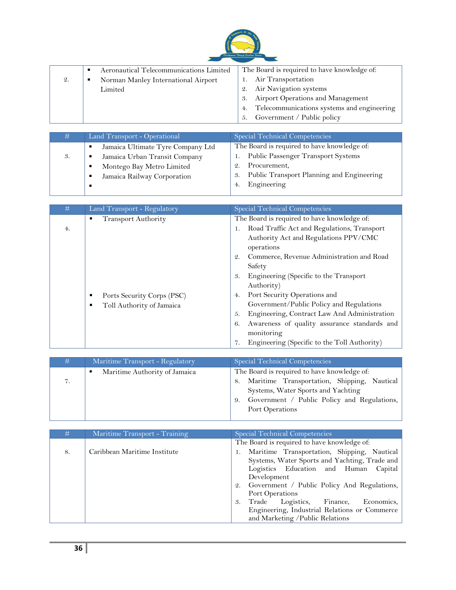

|                 | Aeronautical Telecommunications Limited<br>٠ | The Board is required to have knowledge of:   |
|-----------------|----------------------------------------------|-----------------------------------------------|
| $\mathfrak{2}.$ | Norman Manley International Airport          | Air Transportation                            |
|                 | Limited                                      | 2. Air Navigation systems                     |
|                 |                                              | 3. Airport Operations and Management          |
|                 |                                              | 4. Telecommunications systems and engineering |
|                 |                                              | Government / Public policy<br>5.              |

| Land Transport - Operational<br>#                                                                                                    | Special Technical Competencies                                                                                                                                                  |
|--------------------------------------------------------------------------------------------------------------------------------------|---------------------------------------------------------------------------------------------------------------------------------------------------------------------------------|
| Jamaica Ultimate Tyre Company Ltd<br>Jamaica Urban Transit Company<br>3.<br>Montego Bay Metro Limited<br>Jamaica Railway Corporation | The Board is required to have knowledge of:<br>Public Passenger Transport Systems<br>Procurement,<br>2.<br>Public Transport Planning and Engineering<br>3.<br>Engineering<br>4. |

| $\#$ | Land Transport - Regulatory     | <b>Special Technical Competencies</b>                        |
|------|---------------------------------|--------------------------------------------------------------|
|      | <b>Transport Authority</b><br>٠ | The Board is required to have knowledge of:                  |
| 4.   |                                 | 1. Road Traffic Act and Regulations, Transport               |
|      |                                 | Authority Act and Regulations PPV/CMC                        |
|      |                                 | operations                                                   |
|      |                                 | Commerce, Revenue Administration and Road<br>$\mathfrak{D}.$ |
|      |                                 | Safety                                                       |
|      |                                 | Engineering (Specific to the Transport<br>3.                 |
|      |                                 | Authority)                                                   |
|      | Ports Security Corps (PSC)<br>п | Port Security Operations and<br>4.                           |
|      | Toll Authority of Jamaica<br>п  | Government/Public Policy and Regulations                     |
|      |                                 | Engineering, Contract Law And Administration<br>5.           |
|      |                                 | Awareness of quality assurance standards and<br>6.           |
|      |                                 | monitoring                                                   |
|      |                                 | Engineering (Specific to the Toll Authority)<br>7.           |

| # | Maritime Transport - Regulatory | Special Technical Competencies                                                                                                                                                                              |
|---|---------------------------------|-------------------------------------------------------------------------------------------------------------------------------------------------------------------------------------------------------------|
|   | Maritime Authority of Jamaica   | The Board is required to have knowledge of:<br>8. Maritime Transportation, Shipping, Nautical<br>Systems, Water Sports and Yachting<br>Government / Public Policy and Regulations,<br>9.<br>Port Operations |

| #  | Maritime Transport - Training | Special Technical Competencies                                                                                                                                                                                                                                                                                                                                     |
|----|-------------------------------|--------------------------------------------------------------------------------------------------------------------------------------------------------------------------------------------------------------------------------------------------------------------------------------------------------------------------------------------------------------------|
|    |                               | The Board is required to have knowledge of:                                                                                                                                                                                                                                                                                                                        |
| 8. | Caribbean Maritime Institute  | Maritime Transportation, Shipping, Nautical<br>Systems, Water Sports and Yachting, Trade and<br>Logistics Education and Human Capital<br>Development<br>Government / Public Policy And Regulations,<br>2.<br>Port Operations<br>Trade Logistics, Finance,<br>Economics,<br>3.<br>Engineering, Industrial Relations or Commerce<br>and Marketing / Public Relations |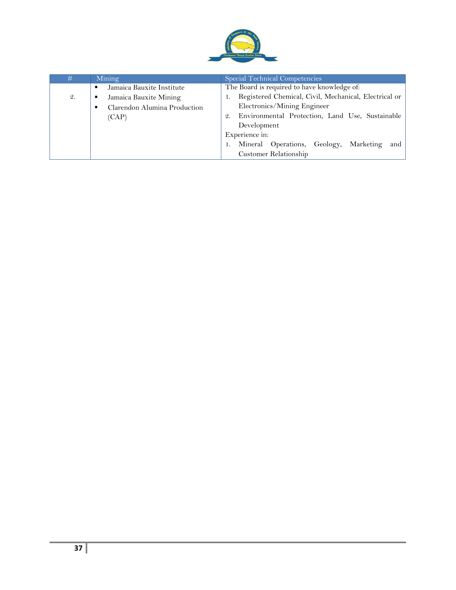

| #  | Mining                            | <b>Special Technical Competencies</b>                 |
|----|-----------------------------------|-------------------------------------------------------|
|    | Jamaica Bauxite Institute<br>٠    | The Board is required to have knowledge of:           |
| 2. | Jamaica Bauxite Mining            | Registered Chemical, Civil, Mechanical, Electrical or |
|    | Clarendon Alumina Production<br>٠ | Electronics/Mining Engineer                           |
|    | (CAP)                             | 2. Environmental Protection, Land Use, Sustainable    |
|    |                                   | Development                                           |
|    |                                   | Experience in:                                        |
|    |                                   | 1. Mineral Operations, Geology, Marketing and         |
|    |                                   | <b>Customer Relationship</b>                          |